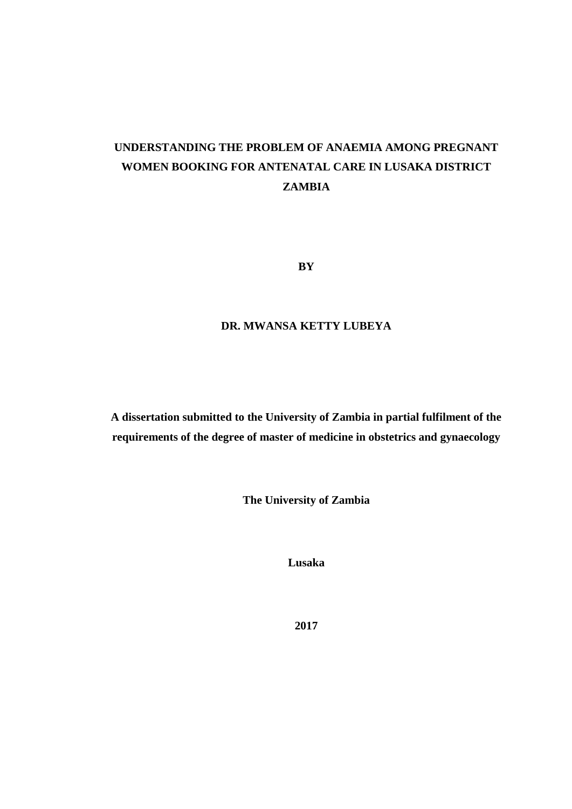# **UNDERSTANDING THE PROBLEM OF ANAEMIA AMONG PREGNANT WOMEN BOOKING FOR ANTENATAL CARE IN LUSAKA DISTRICT ZAMBIA**

**BY**

# **DR. MWANSA KETTY LUBEYA**

**A dissertation submitted to the University of Zambia in partial fulfilment of the requirements of the degree of master of medicine in obstetrics and gynaecology**

**The University of Zambia**

**Lusaka**

**2017**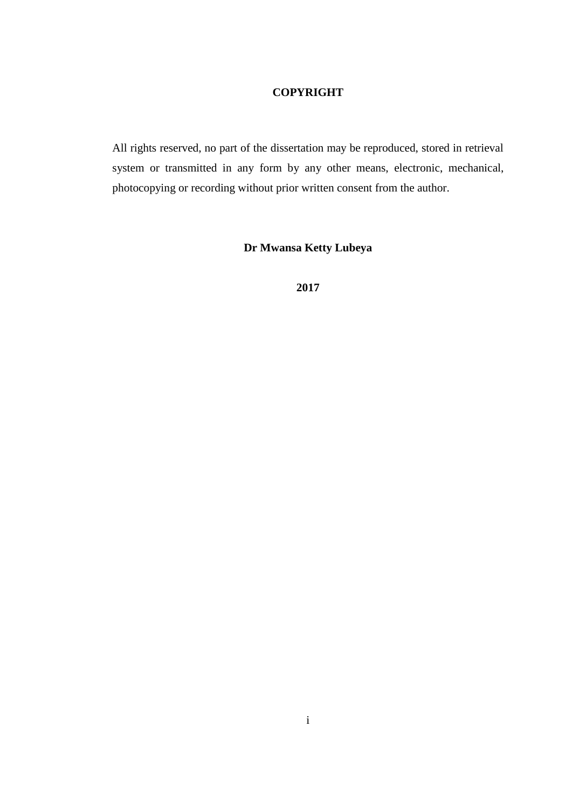# **COPYRIGHT**

<span id="page-1-0"></span>All rights reserved, no part of the dissertation may be reproduced, stored in retrieval system or transmitted in any form by any other means, electronic, mechanical, photocopying or recording without prior written consent from the author.

# **Dr Mwansa Ketty Lubeya**

**2017**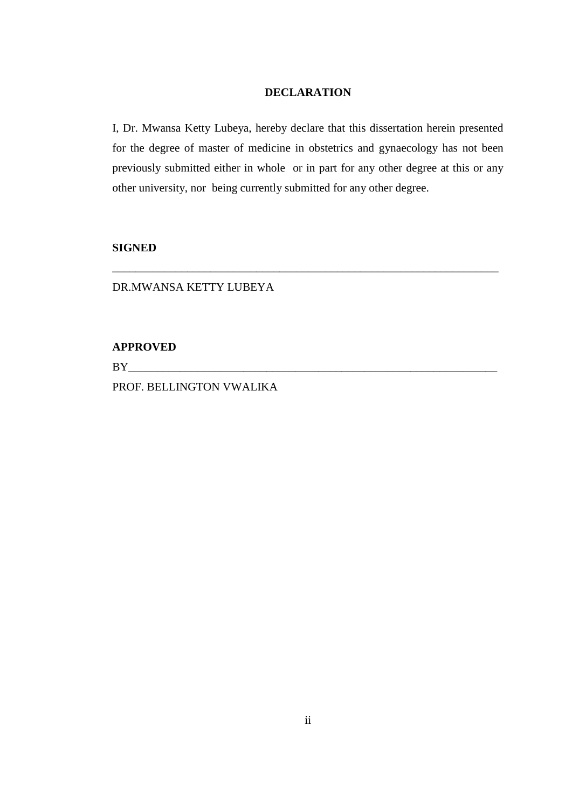# **DECLARATION**

<span id="page-2-0"></span>I, Dr. Mwansa Ketty Lubeya, hereby declare that this dissertation herein presented for the degree of master of medicine in obstetrics and gynaecology has not been previously submitted either in whole or in part for any other degree at this or any other university, nor being currently submitted for any other degree.

\_\_\_\_\_\_\_\_\_\_\_\_\_\_\_\_\_\_\_\_\_\_\_\_\_\_\_\_\_\_\_\_\_\_\_\_\_\_\_\_\_\_\_\_\_\_\_\_\_\_\_\_\_\_\_\_\_\_\_\_\_\_\_\_\_\_\_

# **SIGNED**

### DR.MWANSA KETTY LUBEYA

**APPROVED**

BY\_\_\_\_\_\_\_\_\_\_\_\_\_\_\_\_\_\_\_\_\_\_\_\_\_\_\_\_\_\_\_\_\_\_\_\_\_\_\_\_\_\_\_\_\_\_\_\_\_\_\_\_\_\_\_\_\_\_\_\_\_\_\_\_

PROF. BELLINGTON VWALIKA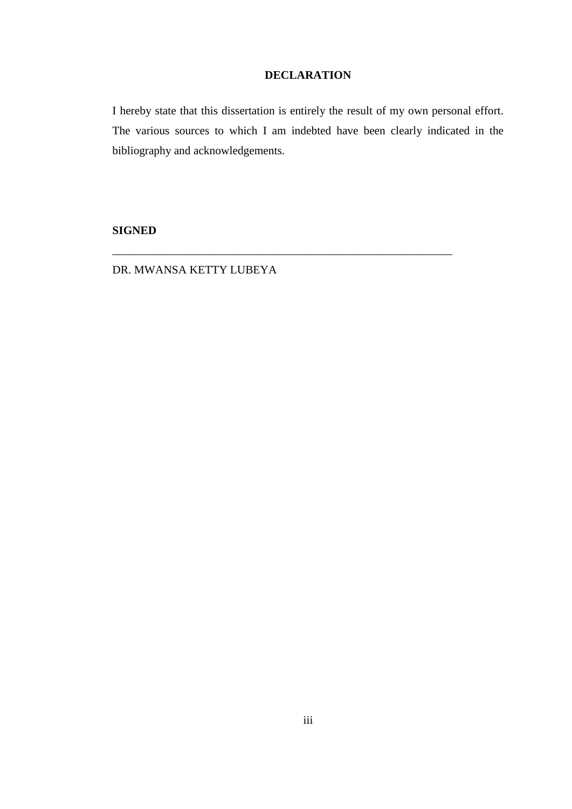# **DECLARATION**

<span id="page-3-0"></span>I hereby state that this dissertation is entirely the result of my own personal effort. The various sources to which I am indebted have been clearly indicated in the bibliography and acknowledgements.

\_\_\_\_\_\_\_\_\_\_\_\_\_\_\_\_\_\_\_\_\_\_\_\_\_\_\_\_\_\_\_\_\_\_\_\_\_\_\_\_\_\_\_\_\_\_\_\_\_\_\_\_\_\_\_\_\_\_\_

# **SIGNED**

DR. MWANSA KETTY LUBEYA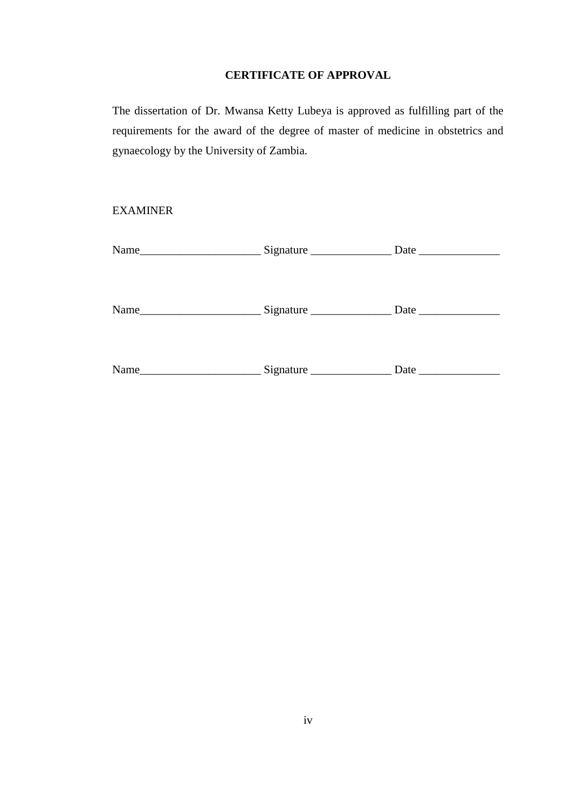# **CERTIFICATE OF APPROVAL**

<span id="page-4-0"></span>The dissertation of Dr. Mwansa Ketty Lubeya is approved as fulfilling part of the requirements for the award of the degree of master of medicine in obstetrics and gynaecology by the University of Zambia.

# EXAMINER

| Name_ | Signature       | Date $\overline{\phantom{a}}$ |
|-------|-----------------|-------------------------------|
|       |                 |                               |
|       |                 |                               |
| Name  | Signature       | Date                          |
|       |                 |                               |
|       |                 |                               |
| Name  | Signature $\_\$ | Date                          |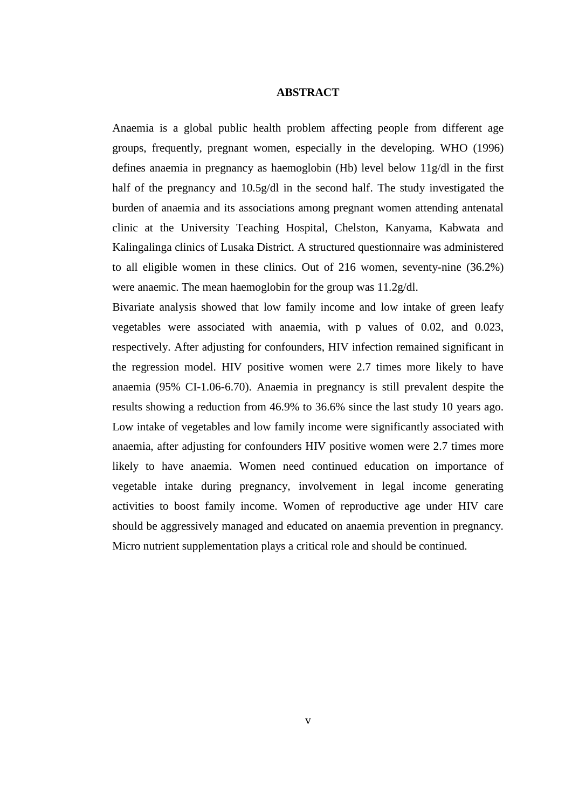# **ABSTRACT**

<span id="page-5-0"></span>Anaemia is a global public health problem affecting people from different age groups, frequently, pregnant women, especially in the developing. WHO (1996) defines anaemia in pregnancy as haemoglobin (Hb) level below 11g/dl in the first half of the pregnancy and 10.5g/dl in the second half. The study investigated the burden of anaemia and its associations among pregnant women attending antenatal clinic at the University Teaching Hospital, Chelston, Kanyama, Kabwata and Kalingalinga clinics of Lusaka District. A structured questionnaire was administered to all eligible women in these clinics. Out of 216 women, seventy-nine (36.2%) were anaemic. The mean haemoglobin for the group was 11.2g/dl.

Bivariate analysis showed that low family income and low intake of green leafy vegetables were associated with anaemia, with p values of 0.02, and 0.023, respectively. After adjusting for confounders, HIV infection remained significant in the regression model. HIV positive women were 2.7 times more likely to have anaemia (95% CI-1.06-6.70). Anaemia in pregnancy is still prevalent despite the results showing a reduction from 46.9% to 36.6% since the last study 10 years ago. Low intake of vegetables and low family income were significantly associated with anaemia, after adjusting for confounders HIV positive women were 2.7 times more likely to have anaemia. Women need continued education on importance of vegetable intake during pregnancy, involvement in legal income generating activities to boost family income. Women of reproductive age under HIV care should be aggressively managed and educated on anaemia prevention in pregnancy. Micro nutrient supplementation plays a critical role and should be continued.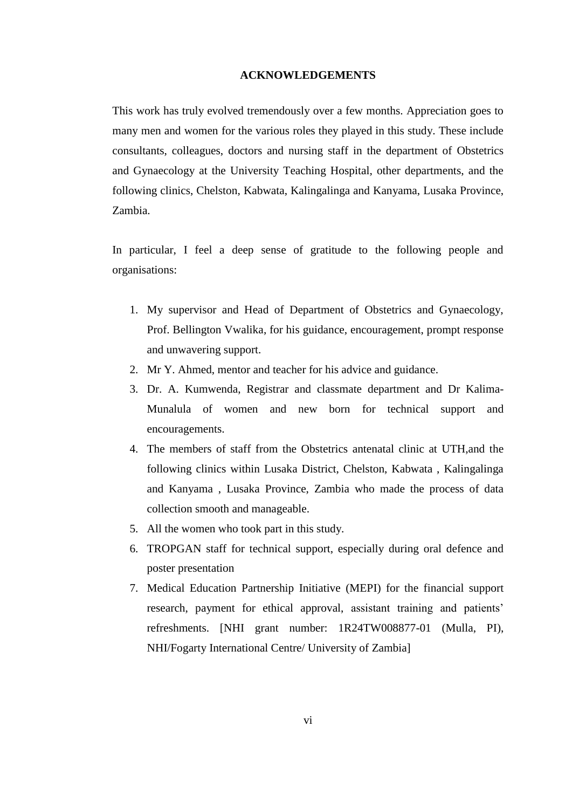#### **ACKNOWLEDGEMENTS**

<span id="page-6-0"></span>This work has truly evolved tremendously over a few months. Appreciation goes to many men and women for the various roles they played in this study. These include consultants, colleagues, doctors and nursing staff in the department of Obstetrics and Gynaecology at the University Teaching Hospital, other departments, and the following clinics, Chelston, Kabwata, Kalingalinga and Kanyama, Lusaka Province, Zambia.

In particular, I feel a deep sense of gratitude to the following people and organisations:

- 1. My supervisor and Head of Department of Obstetrics and Gynaecology, Prof. Bellington Vwalika, for his guidance, encouragement, prompt response and unwavering support.
- 2. Mr Y. Ahmed, mentor and teacher for his advice and guidance.
- 3. Dr. A. Kumwenda, Registrar and classmate department and Dr Kalima-Munalula of women and new born for technical support and encouragements.
- 4. The members of staff from the Obstetrics antenatal clinic at UTH,and the following clinics within Lusaka District, Chelston, Kabwata , Kalingalinga and Kanyama , Lusaka Province, Zambia who made the process of data collection smooth and manageable.
- 5. All the women who took part in this study.
- 6. TROPGAN staff for technical support, especially during oral defence and poster presentation
- 7. Medical Education Partnership Initiative (MEPI) for the financial support research, payment for ethical approval, assistant training and patients' refreshments. [NHI grant number: 1R24TW008877-01 (Mulla, PI), NHI/Fogarty International Centre/ University of Zambia]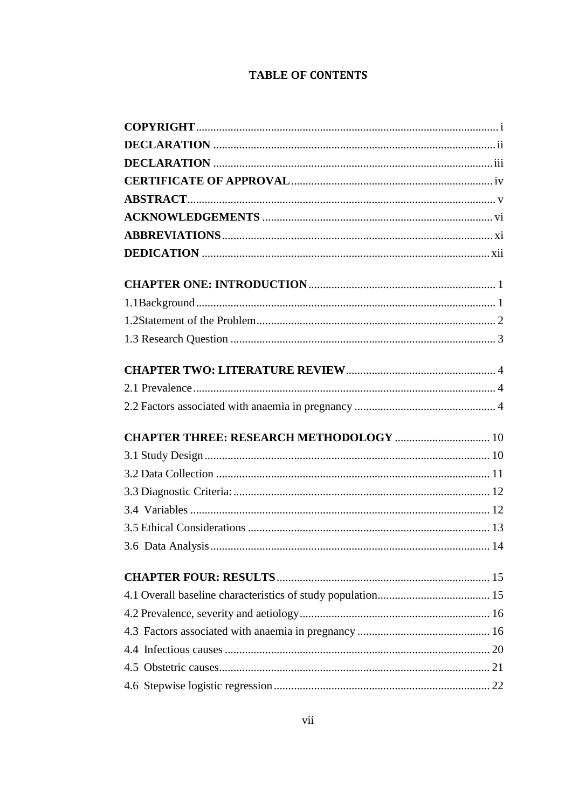# **TABLE OF CONTENTS**

| <b>CHAPTER THREE: RESEARCH METHODOLOGY  10</b> |  |
|------------------------------------------------|--|
|                                                |  |
|                                                |  |
|                                                |  |
|                                                |  |
|                                                |  |
|                                                |  |
|                                                |  |
|                                                |  |
|                                                |  |
|                                                |  |
|                                                |  |
|                                                |  |
|                                                |  |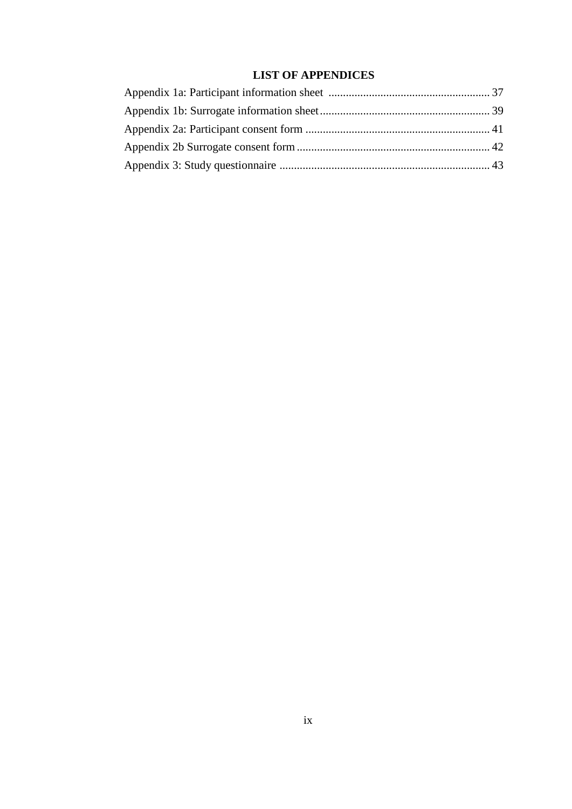# **LIST OF APPENDICES**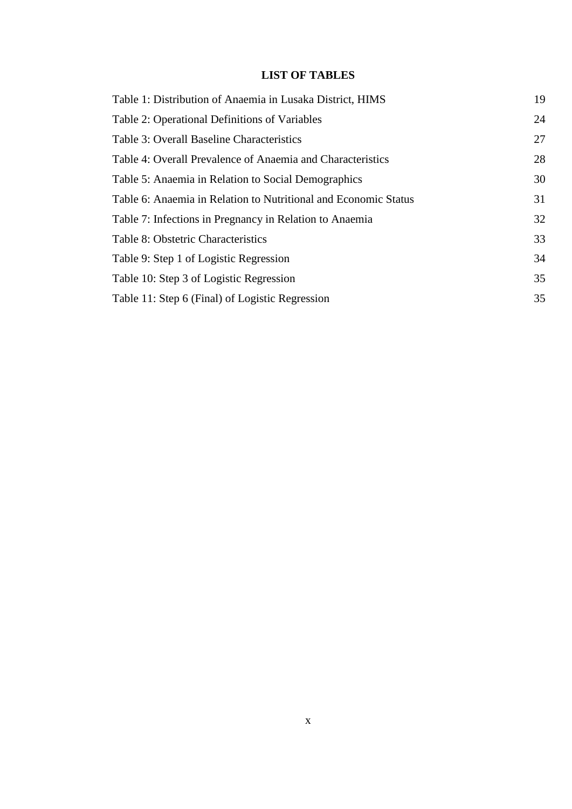# **LIST OF TABLES**

| Table 1: Distribution of Anaemia in Lusaka District, HIMS       | 19 |
|-----------------------------------------------------------------|----|
| Table 2: Operational Definitions of Variables                   | 24 |
| Table 3: Overall Baseline Characteristics                       | 27 |
| Table 4: Overall Prevalence of Anaemia and Characteristics      | 28 |
| Table 5: Anaemia in Relation to Social Demographics             | 30 |
| Table 6: Anaemia in Relation to Nutritional and Economic Status | 31 |
| Table 7: Infections in Pregnancy in Relation to Anaemia         | 32 |
| Table 8: Obstetric Characteristics                              | 33 |
| Table 9: Step 1 of Logistic Regression                          | 34 |
| Table 10: Step 3 of Logistic Regression                         | 35 |
| Table 11: Step 6 (Final) of Logistic Regression                 | 35 |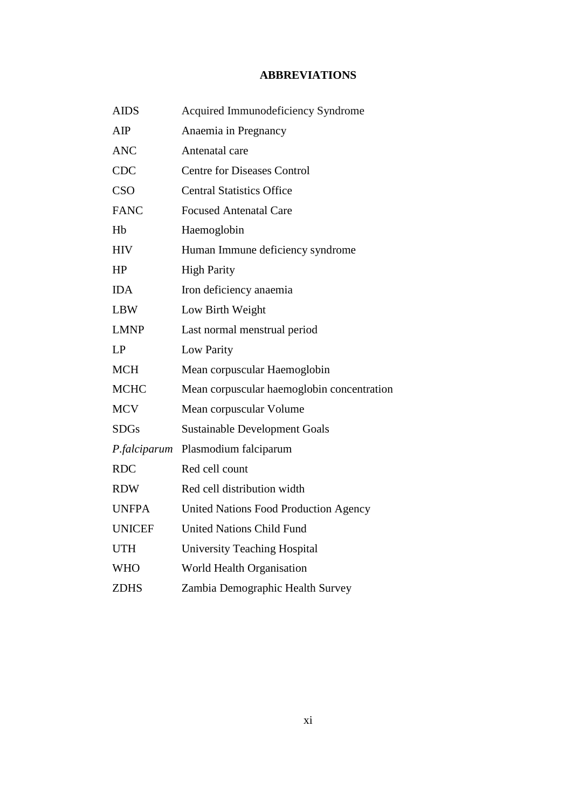# **ABBREVIATIONS**

<span id="page-11-0"></span>

| <b>AIDS</b>    | Acquired Immunodeficiency Syndrome           |
|----------------|----------------------------------------------|
| AIP            | Anaemia in Pregnancy                         |
| <b>ANC</b>     | Antenatal care                               |
| <b>CDC</b>     | <b>Centre for Diseases Control</b>           |
| <b>CSO</b>     | <b>Central Statistics Office</b>             |
| <b>FANC</b>    | <b>Focused Antenatal Care</b>                |
| H <sub>b</sub> | Haemoglobin                                  |
| <b>HIV</b>     | Human Immune deficiency syndrome             |
| HP             | <b>High Parity</b>                           |
| <b>IDA</b>     | Iron deficiency anaemia                      |
| <b>LBW</b>     | Low Birth Weight                             |
| <b>LMNP</b>    | Last normal menstrual period                 |
| LP             | Low Parity                                   |
| <b>MCH</b>     | Mean corpuscular Haemoglobin                 |
| <b>MCHC</b>    | Mean corpuscular haemoglobin concentration   |
| <b>MCV</b>     | Mean corpuscular Volume                      |
| <b>SDGs</b>    | <b>Sustainable Development Goals</b>         |
| P.falciparum   | Plasmodium falciparum                        |
| <b>RDC</b>     | Red cell count                               |
| <b>RDW</b>     | Red cell distribution width                  |
| <b>UNFPA</b>   | <b>United Nations Food Production Agency</b> |
| <b>UNICEF</b>  | <b>United Nations Child Fund</b>             |
| <b>UTH</b>     | <b>University Teaching Hospital</b>          |
| <b>WHO</b>     | World Health Organisation                    |
| <b>ZDHS</b>    | Zambia Demographic Health Survey             |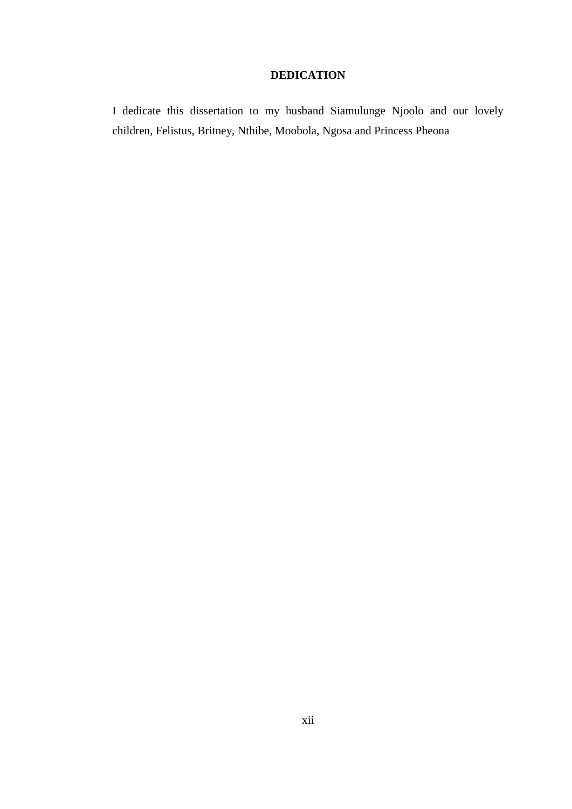# **DEDICATION**

<span id="page-12-0"></span>I dedicate this dissertation to my husband Siamulunge Njoolo and our lovely children, Felistus, Britney, Nthibe, Moobola, Ngosa and Princess Pheona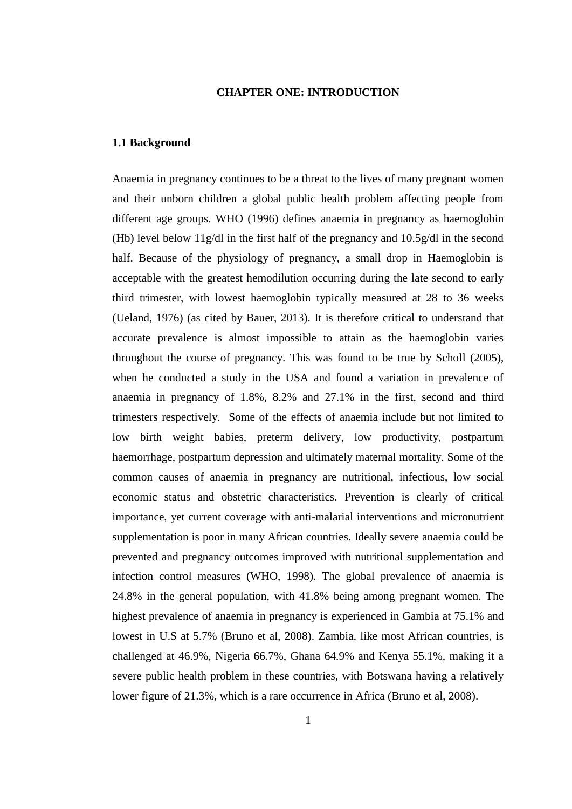### **CHAPTER ONE: INTRODUCTION**

### <span id="page-13-1"></span><span id="page-13-0"></span>**1.1 Background**

Anaemia in pregnancy continues to be a threat to the lives of many pregnant women and their unborn children a global public health problem affecting people from different age groups. WHO (1996) defines anaemia in pregnancy as haemoglobin (Hb) level below 11g/dl in the first half of the pregnancy and 10.5g/dl in the second half. Because of the physiology of pregnancy, a small drop in Haemoglobin is acceptable with the greatest hemodilution occurring during the late second to early third trimester, with lowest haemoglobin typically measured at 28 to 36 weeks (Ueland, 1976) (as cited by Bauer, 2013). It is therefore critical to understand that accurate prevalence is almost impossible to attain as the haemoglobin varies throughout the course of pregnancy. This was found to be true by Scholl (2005), when he conducted a study in the USA and found a variation in prevalence of anaemia in pregnancy of 1.8%, 8.2% and 27.1% in the first, second and third trimesters respectively. Some of the effects of anaemia include but not limited to low birth weight babies, preterm delivery, low productivity, postpartum haemorrhage, postpartum depression and ultimately maternal mortality. Some of the common causes of anaemia in pregnancy are nutritional, infectious, low social economic status and obstetric characteristics. Prevention is clearly of critical importance, yet current coverage with anti-malarial interventions and micronutrient supplementation is poor in many African countries. Ideally severe anaemia could be prevented and pregnancy outcomes improved with nutritional supplementation and infection control measures (WHO, 1998). The global prevalence of anaemia is 24.8% in the general population, with 41.8% being among pregnant women. The highest prevalence of anaemia in pregnancy is experienced in Gambia at 75.1% and lowest in U.S at 5.7% (Bruno et al, 2008). Zambia, like most African countries, is challenged at 46.9%, Nigeria 66.7%, Ghana 64.9% and Kenya 55.1%, making it a severe public health problem in these countries, with Botswana having a relatively lower figure of 21.3%, which is a rare occurrence in Africa (Bruno et al, 2008).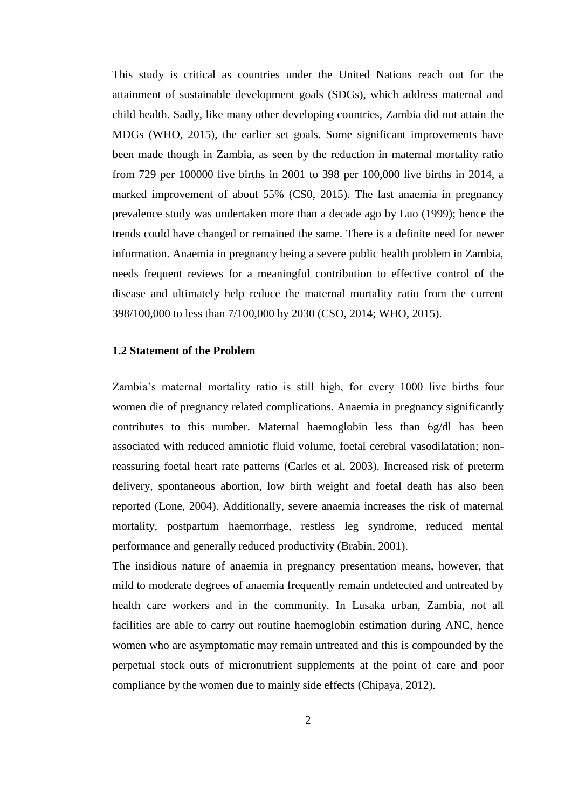This study is critical as countries under the United Nations reach out for the attainment of sustainable development goals (SDGs), which address maternal and child health. Sadly, like many other developing countries, Zambia did not attain the MDGs (WHO, 2015), the earlier set goals. Some significant improvements have been made though in Zambia, as seen by the reduction in maternal mortality ratio from 729 per 100000 live births in 2001 to 398 per 100,000 live births in 2014, a marked improvement of about 55% (CS0, 2015). The last anaemia in pregnancy prevalence study was undertaken more than a decade ago by Luo (1999); hence the trends could have changed or remained the same. There is a definite need for newer information. Anaemia in pregnancy being a severe public health problem in Zambia, needs frequent reviews for a meaningful contribution to effective control of the disease and ultimately help reduce the maternal mortality ratio from the current 398/100,000 to less than 7/100,000 by 2030 (CSO, 2014; WHO, 2015).

### <span id="page-14-0"></span>**1.2 Statement of the Problem**

Zambia's maternal mortality ratio is still high, for every 1000 live births four women die of pregnancy related complications. Anaemia in pregnancy significantly contributes to this number. Maternal haemoglobin less than 6g/dl has been associated with reduced amniotic fluid volume, foetal cerebral vasodilatation; nonreassuring foetal heart rate patterns (Carles et al, 2003). Increased risk of preterm delivery, spontaneous abortion, low birth weight and foetal death has also been reported (Lone, 2004). Additionally, severe anaemia increases the risk of maternal mortality, postpartum haemorrhage, restless leg syndrome, reduced mental performance and generally reduced productivity (Brabin, 2001).

The insidious nature of anaemia in pregnancy presentation means, however, that mild to moderate degrees of anaemia frequently remain undetected and untreated by health care workers and in the community. In Lusaka urban, Zambia, not all facilities are able to carry out routine haemoglobin estimation during ANC, hence women who are asymptomatic may remain untreated and this is compounded by the perpetual stock outs of micronutrient supplements at the point of care and poor compliance by the women due to mainly side effects (Chipaya, 2012).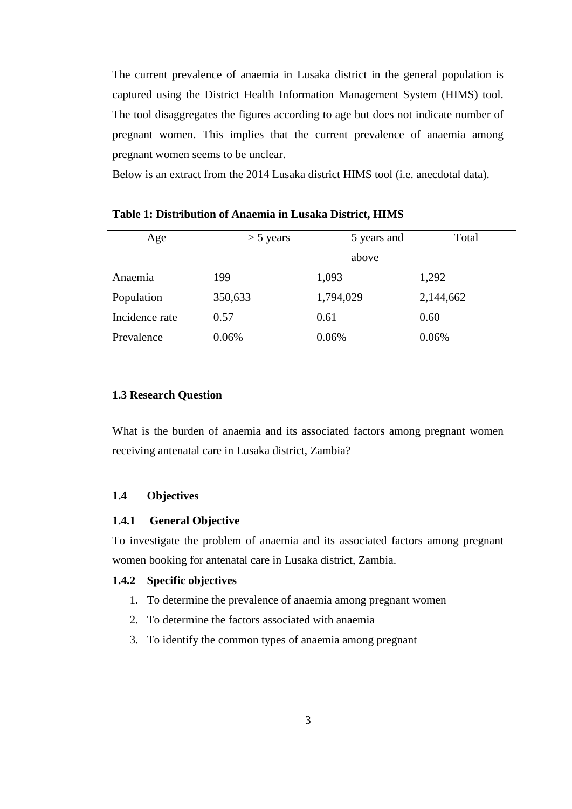The current prevalence of anaemia in Lusaka district in the general population is captured using the District Health Information Management System (HIMS) tool. The tool disaggregates the figures according to age but does not indicate number of pregnant women. This implies that the current prevalence of anaemia among pregnant women seems to be unclear.

Below is an extract from the 2014 Lusaka district HIMS tool (i.e. anecdotal data).

| Age            | 5 years and<br>$>$ 5 years |           | Total     |
|----------------|----------------------------|-----------|-----------|
|                |                            | above     |           |
| Anaemia        | 199                        | 1,093     | 1,292     |
| Population     | 350,633                    | 1,794,029 | 2,144,662 |
| Incidence rate | 0.57                       | 0.61      | 0.60      |
| Prevalence     | 0.06%                      | 0.06%     | 0.06%     |

<span id="page-15-1"></span>**Table 1: Distribution of Anaemia in Lusaka District, HIMS**

# <span id="page-15-0"></span>**1.3 Research Question**

What is the burden of anaemia and its associated factors among pregnant women receiving antenatal care in Lusaka district, Zambia?

### **1.4 Objectives**

### **1.4.1 General Objective**

To investigate the problem of anaemia and its associated factors among pregnant women booking for antenatal care in Lusaka district, Zambia.

### **1.4.2 Specific objectives**

- 1. To determine the prevalence of anaemia among pregnant women
- 2. To determine the factors associated with anaemia
- 3. To identify the common types of anaemia among pregnant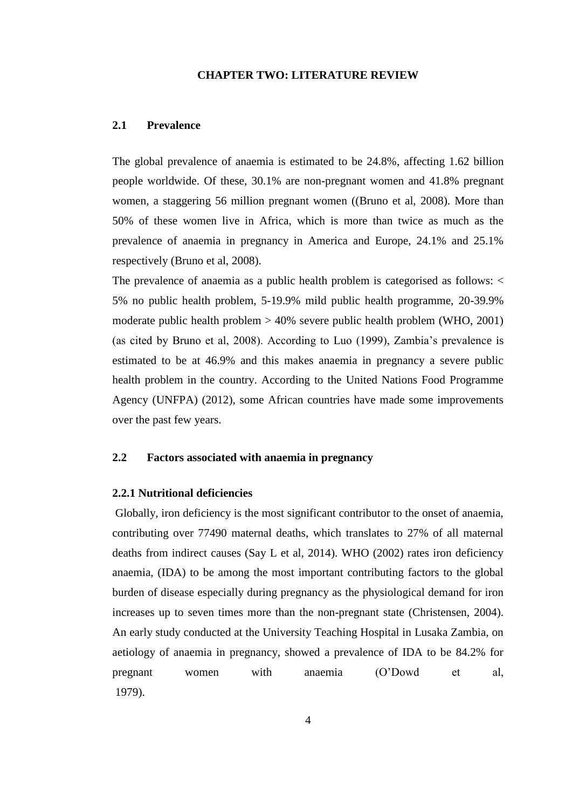#### **CHAPTER TWO: LITERATURE REVIEW**

### <span id="page-16-1"></span><span id="page-16-0"></span>**2.1 Prevalence**

The global prevalence of anaemia is estimated to be 24.8%, affecting 1.62 billion people worldwide. Of these, 30.1% are non-pregnant women and 41.8% pregnant women, a staggering 56 million pregnant women ((Bruno et al, 2008). More than 50% of these women live in Africa, which is more than twice as much as the prevalence of anaemia in pregnancy in America and Europe, 24.1% and 25.1% respectively (Bruno et al, 2008).

The prevalence of anaemia as a public health problem is categorised as follows: < 5% no public health problem, 5-19.9% mild public health programme, 20-39.9% moderate public health problem > 40% severe public health problem (WHO, 2001) (as cited by Bruno et al, 2008). According to Luo (1999), Zambia's prevalence is estimated to be at 46.9% and this makes anaemia in pregnancy a severe public health problem in the country. According to the United Nations Food Programme Agency (UNFPA) (2012), some African countries have made some improvements over the past few years.

# <span id="page-16-2"></span>**2.2 Factors associated with anaemia in pregnancy**

### **2.2.1 Nutritional deficiencies**

Globally, iron deficiency is the most significant contributor to the onset of anaemia, contributing over 77490 maternal deaths, which translates to 27% of all maternal deaths from indirect causes (Say L et al, 2014). WHO (2002) rates iron deficiency anaemia, (IDA) to be among the most important contributing factors to the global burden of disease especially during pregnancy as the physiological demand for iron increases up to seven times more than the non-pregnant state (Christensen, 2004). An early study conducted at the University Teaching Hospital in Lusaka Zambia, on aetiology of anaemia in pregnancy, showed a prevalence of IDA to be 84.2% for pregnant women with anaemia (O'Dowd et al, 1979).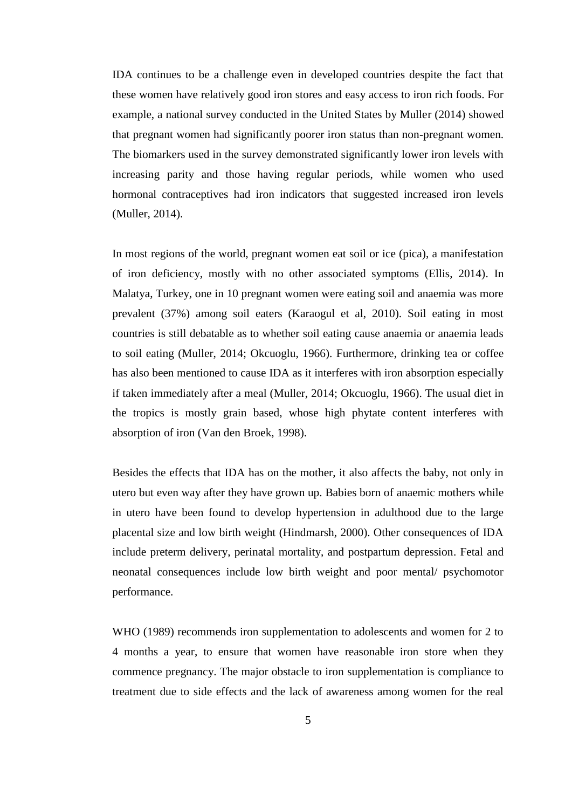IDA continues to be a challenge even in developed countries despite the fact that these women have relatively good iron stores and easy access to iron rich foods. For example, a national survey conducted in the United States by Muller (2014) showed that pregnant women had significantly poorer iron status than non-pregnant women. The biomarkers used in the survey demonstrated significantly lower iron levels with increasing parity and those having regular periods, while women who used hormonal contraceptives had iron indicators that suggested increased iron levels (Muller, 2014).

In most regions of the world, pregnant women eat soil or ice (pica), a manifestation of iron deficiency, mostly with no other associated symptoms (Ellis, 2014). In Malatya, Turkey, one in 10 pregnant women were eating soil and anaemia was more prevalent (37%) among soil eaters (Karaogul et al, 2010). Soil eating in most countries is still debatable as to whether soil eating cause anaemia or anaemia leads to soil eating (Muller, 2014; Okcuoglu, 1966). Furthermore, drinking tea or coffee has also been mentioned to cause IDA as it interferes with iron absorption especially if taken immediately after a meal (Muller, 2014; Okcuoglu, 1966). The usual diet in the tropics is mostly grain based, whose high phytate content interferes with absorption of iron (Van den Broek, 1998).

Besides the effects that IDA has on the mother, it also affects the baby, not only in utero but even way after they have grown up. Babies born of anaemic mothers while in utero have been found to develop hypertension in adulthood due to the large placental size and low birth weight (Hindmarsh, 2000). Other consequences of IDA include preterm delivery, perinatal mortality, and postpartum depression. Fetal and neonatal consequences include low birth weight and poor mental/ psychomotor performance.

WHO (1989) recommends iron supplementation to adolescents and women for 2 to 4 months a year, to ensure that women have reasonable iron store when they commence pregnancy. The major obstacle to iron supplementation is compliance to treatment due to side effects and the lack of awareness among women for the real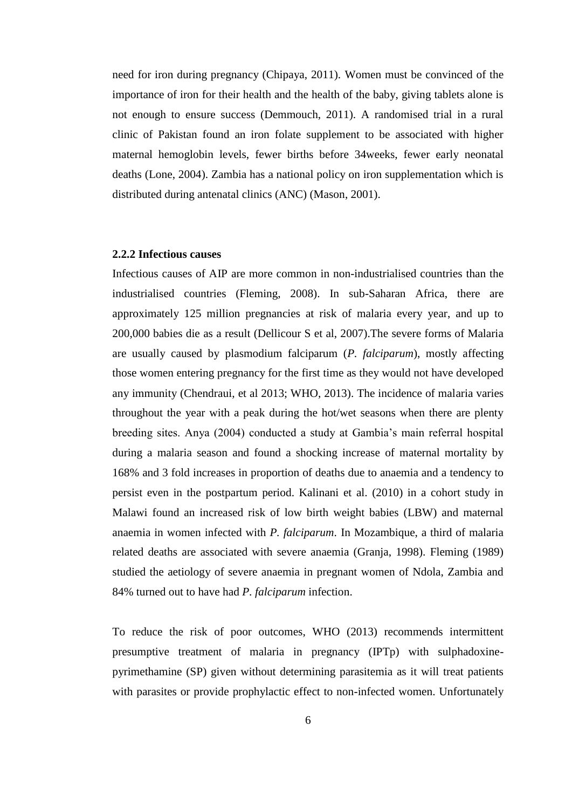need for iron during pregnancy (Chipaya, 2011). Women must be convinced of the importance of iron for their health and the health of the baby, giving tablets alone is not enough to ensure success (Demmouch, 2011). A randomised trial in a rural clinic of Pakistan found an iron folate supplement to be associated with higher maternal hemoglobin levels, fewer births before 34weeks, fewer early neonatal deaths (Lone, 2004). Zambia has a national policy on iron supplementation which is distributed during antenatal clinics (ANC) (Mason, 2001).

# **2.2.2 Infectious causes**

Infectious causes of AIP are more common in non-industrialised countries than the industrialised countries (Fleming, 2008). In sub-Saharan Africa, there are approximately 125 million pregnancies at risk of malaria every year, and up to 200,000 babies die as a result (Dellicour S et al, 2007).The severe forms of Malaria are usually caused by plasmodium falciparum (*P. falciparum*), mostly affecting those women entering pregnancy for the first time as they would not have developed any immunity (Chendraui, et al 2013; WHO, 2013). The incidence of malaria varies throughout the year with a peak during the hot/wet seasons when there are plenty breeding sites. Anya (2004) conducted a study at Gambia's main referral hospital during a malaria season and found a shocking increase of maternal mortality by 168% and 3 fold increases in proportion of deaths due to anaemia and a tendency to persist even in the postpartum period. Kalinani et al. (2010) in a cohort study in Malawi found an increased risk of low birth weight babies (LBW) and maternal anaemia in women infected with *P. falciparum*. In Mozambique, a third of malaria related deaths are associated with severe anaemia (Granja, 1998). Fleming (1989) studied the aetiology of severe anaemia in pregnant women of Ndola, Zambia and 84% turned out to have had *P. falciparum* infection.

To reduce the risk of poor outcomes, WHO (2013) recommends intermittent presumptive treatment of malaria in pregnancy (IPTp) with sulphadoxinepyrimethamine (SP) given without determining parasitemia as it will treat patients with parasites or provide prophylactic effect to non-infected women. Unfortunately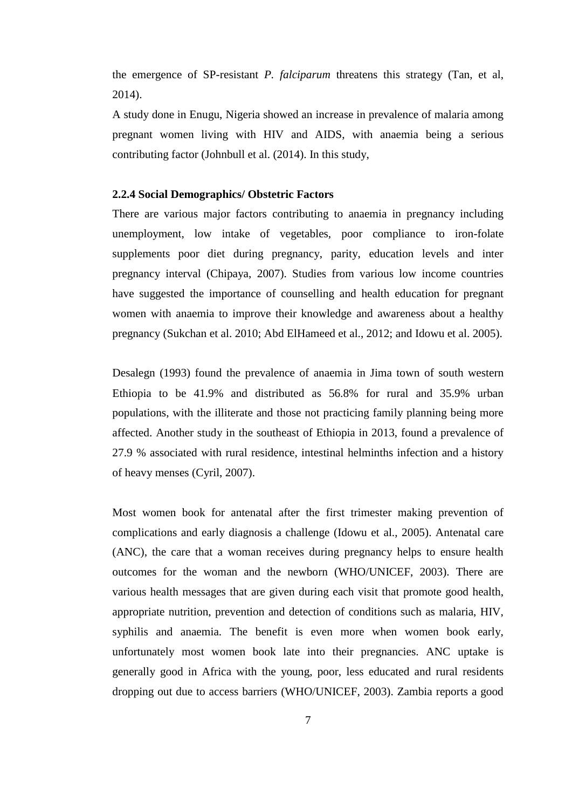the emergence of SP-resistant *P. falciparum* threatens this strategy (Tan, et al, 2014).

A study done in Enugu, Nigeria showed an increase in prevalence of malaria among pregnant women living with HIV and AIDS, with anaemia being a serious contributing factor (Johnbull et al. (2014). In this study,

### **2.2.4 Social Demographics/ Obstetric Factors**

There are various major factors contributing to anaemia in pregnancy including unemployment, low intake of vegetables, poor compliance to iron-folate supplements poor diet during pregnancy, parity, education levels and inter pregnancy interval (Chipaya, 2007). Studies from various low income countries have suggested the importance of counselling and health education for pregnant women with anaemia to improve their knowledge and awareness about a healthy pregnancy (Sukchan et al. 2010; Abd ElHameed et al., 2012; and Idowu et al. 2005).

Desalegn (1993) found the prevalence of anaemia in Jima town of south western Ethiopia to be 41.9% and distributed as 56.8% for rural and 35.9% urban populations, with the illiterate and those not practicing family planning being more affected. Another study in the southeast of Ethiopia in 2013, found a prevalence of 27.9 % associated with rural residence, intestinal helminths infection and a history of heavy menses (Cyril, 2007).

Most women book for antenatal after the first trimester making prevention of complications and early diagnosis a challenge (Idowu et al., 2005). Antenatal care (ANC), the care that a woman receives during pregnancy helps to ensure health outcomes for the woman and the newborn (WHO/UNICEF, 2003). There are various health messages that are given during each visit that promote good health, appropriate nutrition, prevention and detection of conditions such as malaria, HIV, syphilis and anaemia. The benefit is even more when women book early, unfortunately most women book late into their pregnancies. ANC uptake is generally good in Africa with the young, poor, less educated and rural residents dropping out due to access barriers (WHO/UNICEF, 2003). Zambia reports a good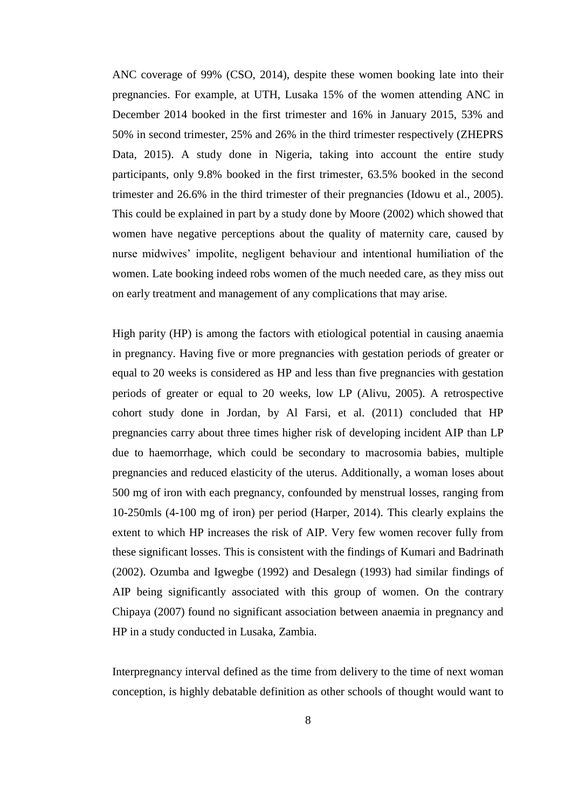ANC coverage of 99% (CSO, 2014), despite these women booking late into their pregnancies. For example, at UTH, Lusaka 15% of the women attending ANC in December 2014 booked in the first trimester and 16% in January 2015, 53% and 50% in second trimester, 25% and 26% in the third trimester respectively (ZHEPRS Data, 2015). A study done in Nigeria, taking into account the entire study participants, only 9.8% booked in the first trimester, 63.5% booked in the second trimester and 26.6% in the third trimester of their pregnancies (Idowu et al., 2005). This could be explained in part by a study done by Moore (2002) which showed that women have negative perceptions about the quality of maternity care, caused by nurse midwives' impolite, negligent behaviour and intentional humiliation of the women. Late booking indeed robs women of the much needed care, as they miss out on early treatment and management of any complications that may arise.

High parity (HP) is among the factors with etiological potential in causing anaemia in pregnancy. Having five or more pregnancies with gestation periods of greater or equal to 20 weeks is considered as HP and less than five pregnancies with gestation periods of greater or equal to 20 weeks, low LP (Alivu, 2005). A retrospective cohort study done in Jordan, by Al Farsi, et al. (2011) concluded that HP pregnancies carry about three times higher risk of developing incident AIP than LP due to haemorrhage, which could be secondary to macrosomia babies, multiple pregnancies and reduced elasticity of the uterus. Additionally, a woman loses about 500 mg of iron with each pregnancy, confounded by menstrual losses, ranging from 10-250mls (4-100 mg of iron) per period (Harper, 2014). This clearly explains the extent to which HP increases the risk of AIP. Very few women recover fully from these significant losses. This is consistent with the findings of Kumari and Badrinath (2002). Ozumba and Igwegbe (1992) and Desalegn (1993) had similar findings of AIP being significantly associated with this group of women. On the contrary Chipaya (2007) found no significant association between anaemia in pregnancy and HP in a study conducted in Lusaka, Zambia.

Interpregnancy interval defined as the time from delivery to the time of next woman conception, is highly debatable definition as other schools of thought would want to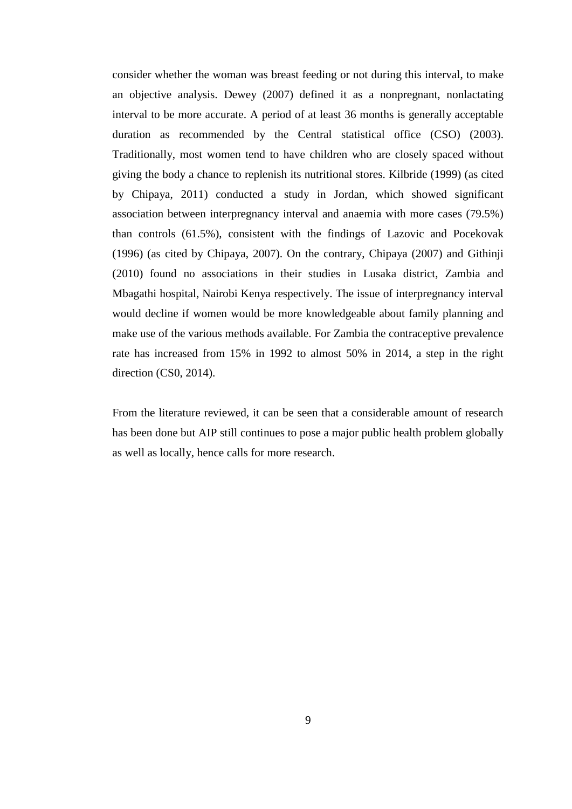consider whether the woman was breast feeding or not during this interval, to make an objective analysis. Dewey (2007) defined it as a nonpregnant, nonlactating interval to be more accurate. A period of at least 36 months is generally acceptable duration as recommended by the Central statistical office (CSO) (2003). Traditionally, most women tend to have children who are closely spaced without giving the body a chance to replenish its nutritional stores. Kilbride (1999) (as cited by Chipaya, 2011) conducted a study in Jordan, which showed significant association between interpregnancy interval and anaemia with more cases (79.5%) than controls (61.5%), consistent with the findings of Lazovic and Pocekovak (1996) (as cited by Chipaya, 2007). On the contrary, Chipaya (2007) and Githinji (2010) found no associations in their studies in Lusaka district, Zambia and Mbagathi hospital, Nairobi Kenya respectively. The issue of interpregnancy interval would decline if women would be more knowledgeable about family planning and make use of the various methods available. For Zambia the contraceptive prevalence rate has increased from 15% in 1992 to almost 50% in 2014, a step in the right direction (CS0, 2014).

From the literature reviewed, it can be seen that a considerable amount of research has been done but AIP still continues to pose a major public health problem globally as well as locally, hence calls for more research.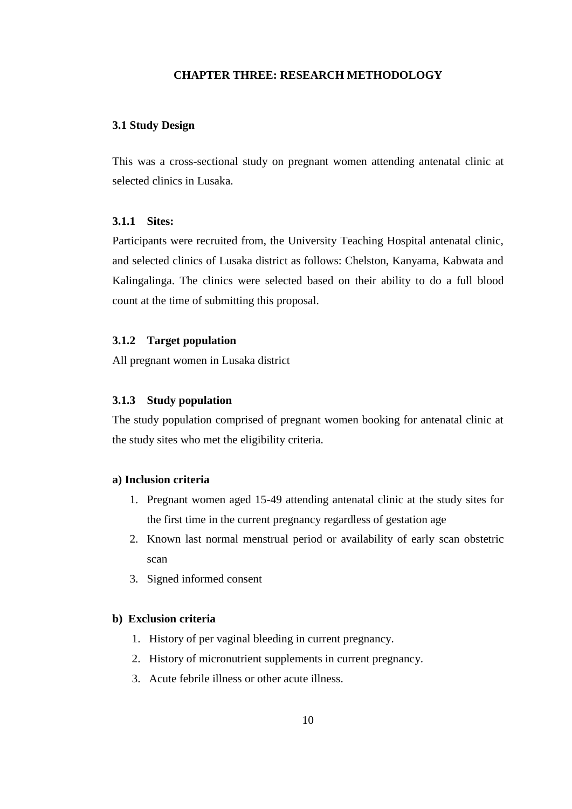# **CHAPTER THREE: RESEARCH METHODOLOGY**

### <span id="page-22-1"></span><span id="page-22-0"></span>**3.1 Study Design**

This was a cross-sectional study on pregnant women attending antenatal clinic at selected clinics in Lusaka.

# **3.1.1 Sites:**

Participants were recruited from, the University Teaching Hospital antenatal clinic, and selected clinics of Lusaka district as follows: Chelston, Kanyama, Kabwata and Kalingalinga. The clinics were selected based on their ability to do a full blood count at the time of submitting this proposal.

### **3.1.2 Target population**

All pregnant women in Lusaka district

### **3.1.3 Study population**

The study population comprised of pregnant women booking for antenatal clinic at the study sites who met the eligibility criteria.

# **a) Inclusion criteria**

- 1. Pregnant women aged 15-49 attending antenatal clinic at the study sites for the first time in the current pregnancy regardless of gestation age
- 2. Known last normal menstrual period or availability of early scan obstetric scan
- 3. Signed informed consent

### **b) Exclusion criteria**

- 1. History of per vaginal bleeding in current pregnancy.
- 2. History of micronutrient supplements in current pregnancy.
- 3. Acute febrile illness or other acute illness.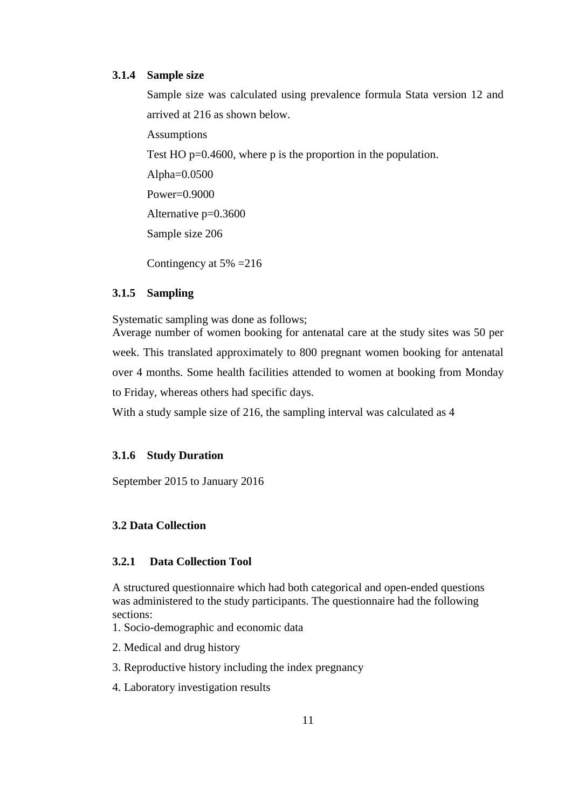### **3.1.4 Sample size**

Sample size was calculated using prevalence formula Stata version 12 and arrived at 216 as shown below.

Assumptions

Test HO p=0.4600, where p is the proportion in the population.

Alpha=0.0500

Power=0.9000

Alternative p=0.3600

Sample size 206

Contingency at 5% =216

# **3.1.5 Sampling**

Systematic sampling was done as follows;

Average number of women booking for antenatal care at the study sites was 50 per week. This translated approximately to 800 pregnant women booking for antenatal over 4 months. Some health facilities attended to women at booking from Monday to Friday, whereas others had specific days.

With a study sample size of 216, the sampling interval was calculated as 4

### **3.1.6 Study Duration**

September 2015 to January 2016

# <span id="page-23-0"></span>**3.2 Data Collection**

# **3.2.1 Data Collection Tool**

A structured questionnaire which had both categorical and open-ended questions was administered to the study participants. The questionnaire had the following sections:

1. Socio-demographic and economic data

2. Medical and drug history

3. Reproductive history including the index pregnancy

4. Laboratory investigation results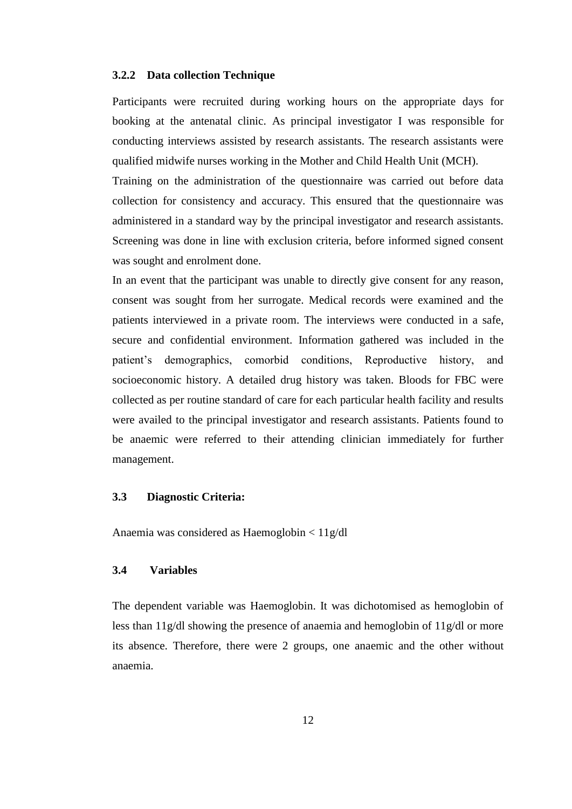#### **3.2.2 Data collection Technique**

Participants were recruited during working hours on the appropriate days for booking at the antenatal clinic. As principal investigator I was responsible for conducting interviews assisted by research assistants. The research assistants were qualified midwife nurses working in the Mother and Child Health Unit (MCH).

Training on the administration of the questionnaire was carried out before data collection for consistency and accuracy. This ensured that the questionnaire was administered in a standard way by the principal investigator and research assistants. Screening was done in line with exclusion criteria, before informed signed consent was sought and enrolment done.

In an event that the participant was unable to directly give consent for any reason, consent was sought from her surrogate. Medical records were examined and the patients interviewed in a private room. The interviews were conducted in a safe, secure and confidential environment. Information gathered was included in the patient's demographics, comorbid conditions, Reproductive history, and socioeconomic history. A detailed drug history was taken. Bloods for FBC were collected as per routine standard of care for each particular health facility and results were availed to the principal investigator and research assistants. Patients found to be anaemic were referred to their attending clinician immediately for further management.

### <span id="page-24-0"></span>**3.3 Diagnostic Criteria:**

<span id="page-24-1"></span>Anaemia was considered as Haemoglobin < 11g/dl

### **3.4 Variables**

The dependent variable was Haemoglobin. It was dichotomised as hemoglobin of less than 11g/dl showing the presence of anaemia and hemoglobin of 11g/dl or more its absence. Therefore, there were 2 groups, one anaemic and the other without anaemia.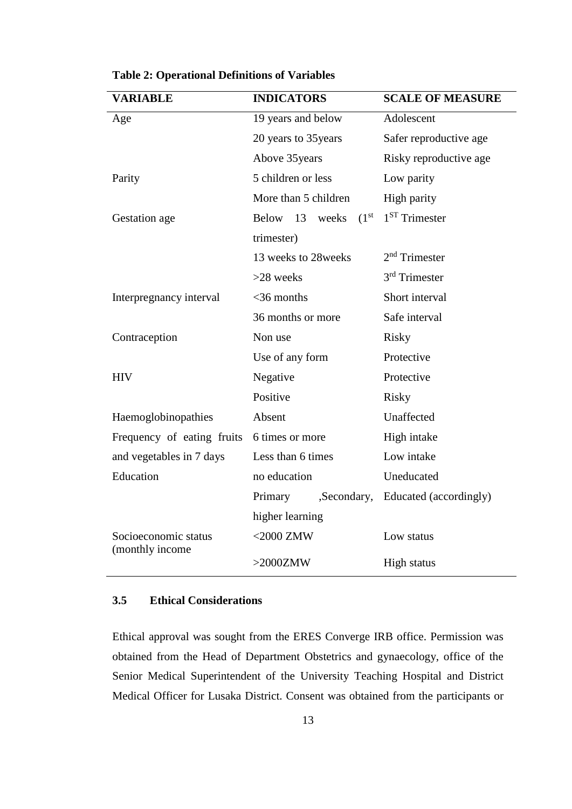| <b>VARIABLE</b>                         | <b>INDICATORS</b>                       | <b>SCALE OF MEASURE</b> |  |
|-----------------------------------------|-----------------------------------------|-------------------------|--|
| Age                                     | 19 years and below                      | Adolescent              |  |
|                                         | 20 years to 35 years                    | Safer reproductive age  |  |
|                                         | Above 35 years                          | Risky reproductive age  |  |
| Parity                                  | 5 children or less                      | Low parity              |  |
|                                         | More than 5 children                    | High parity             |  |
| Gestation age                           | (1 <sup>st</sup> )<br>Below 13<br>weeks | $1ST$ Trimester         |  |
|                                         | trimester)                              |                         |  |
|                                         | 13 weeks to 28 weeks                    | $2nd$ Trimester         |  |
|                                         | $>28$ weeks                             | $3rd$ Trimester         |  |
| Interpregnancy interval                 | $<$ 36 months                           | Short interval          |  |
|                                         | 36 months or more                       | Safe interval           |  |
| Contraception                           | Non use                                 | <b>Risky</b>            |  |
|                                         | Use of any form                         | Protective              |  |
| <b>HIV</b>                              | Negative<br>Protective                  |                         |  |
|                                         | Positive                                | <b>Risky</b>            |  |
| Haemoglobinopathies                     | Absent                                  | Unaffected              |  |
| Frequency of eating fruits              | 6 times or more                         | High intake             |  |
| and vegetables in 7 days                | Less than 6 times                       | Low intake              |  |
| Education                               | no education                            | Uneducated              |  |
| Primary<br>,Secondary,                  |                                         | Educated (accordingly)  |  |
|                                         | higher learning                         |                         |  |
| Socioeconomic status<br>(monthly income | $<$ 2000 ZMW                            | Low status              |  |
|                                         | $>2000ZMW$                              | <b>High status</b>      |  |

<span id="page-25-1"></span>**Table 2: Operational Definitions of Variables**

# <span id="page-25-0"></span>**3.5 Ethical Considerations**

Ethical approval was sought from the ERES Converge IRB office. Permission was obtained from the Head of Department Obstetrics and gynaecology, office of the Senior Medical Superintendent of the University Teaching Hospital and District Medical Officer for Lusaka District. Consent was obtained from the participants or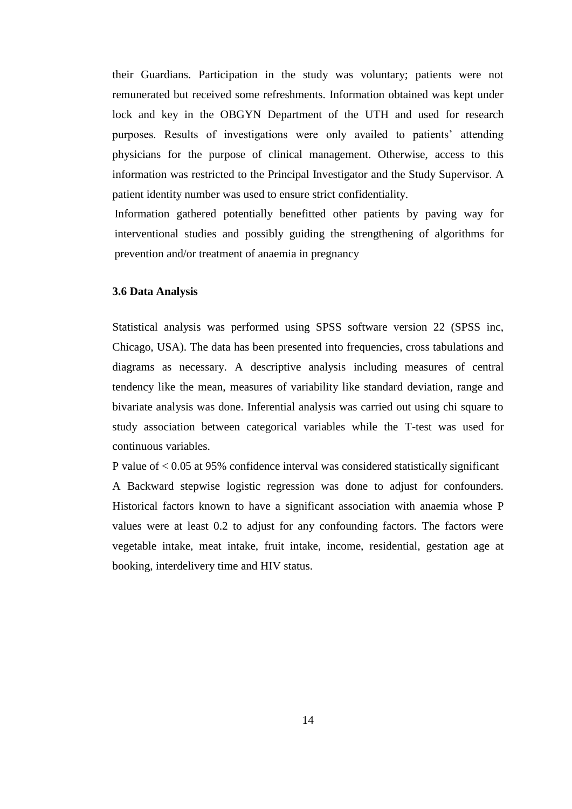their Guardians. Participation in the study was voluntary; patients were not remunerated but received some refreshments. Information obtained was kept under lock and key in the OBGYN Department of the UTH and used for research purposes. Results of investigations were only availed to patients' attending physicians for the purpose of clinical management. Otherwise, access to this information was restricted to the Principal Investigator and the Study Supervisor. A patient identity number was used to ensure strict confidentiality.

Information gathered potentially benefitted other patients by paving way for interventional studies and possibly guiding the strengthening of algorithms for prevention and/or treatment of anaemia in pregnancy

### <span id="page-26-0"></span>**3.6 Data Analysis**

Statistical analysis was performed using SPSS software version 22 (SPSS inc, Chicago, USA). The data has been presented into frequencies, cross tabulations and diagrams as necessary. A descriptive analysis including measures of central tendency like the mean, measures of variability like standard deviation, range and bivariate analysis was done. Inferential analysis was carried out using chi square to study association between categorical variables while the T-test was used for continuous variables.

P value of < 0.05 at 95% confidence interval was considered statistically significant A Backward stepwise logistic regression was done to adjust for confounders. Historical factors known to have a significant association with anaemia whose P values were at least 0.2 to adjust for any confounding factors. The factors were vegetable intake, meat intake, fruit intake, income, residential, gestation age at booking, interdelivery time and HIV status.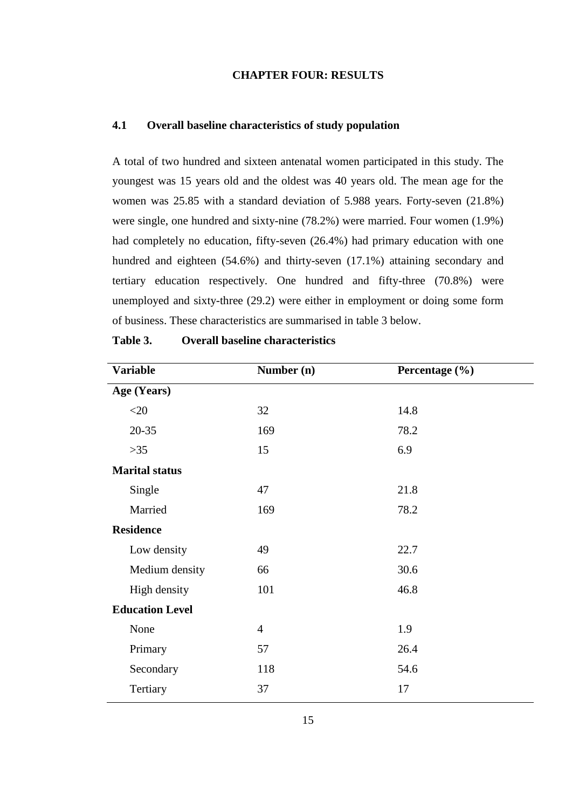# **CHAPTER FOUR: RESULTS**

# <span id="page-27-1"></span><span id="page-27-0"></span>**4.1 Overall baseline characteristics of study population**

A total of two hundred and sixteen antenatal women participated in this study. The youngest was 15 years old and the oldest was 40 years old. The mean age for the women was 25.85 with a standard deviation of 5.988 years. Forty-seven (21.8%) were single, one hundred and sixty-nine (78.2%) were married. Four women (1.9%) had completely no education, fifty-seven (26.4%) had primary education with one hundred and eighteen (54.6%) and thirty-seven (17.1%) attaining secondary and tertiary education respectively. One hundred and fifty-three (70.8%) were unemployed and sixty-three (29.2) were either in employment or doing some form of business. These characteristics are summarised in table 3 below.

| <b>Variable</b>        | Number (n)<br>Percentage (%) |      |
|------------------------|------------------------------|------|
| Age (Years)            |                              |      |
| $<$ 20                 | 32                           | 14.8 |
| $20 - 35$              | 169                          | 78.2 |
| $>35$                  | 15                           | 6.9  |
| <b>Marital status</b>  |                              |      |
| Single                 | 47                           | 21.8 |
| Married                | 169                          | 78.2 |
| <b>Residence</b>       |                              |      |
| Low density            | 49                           | 22.7 |
| Medium density         | 66                           | 30.6 |
| High density           | 101                          | 46.8 |
| <b>Education Level</b> |                              |      |
| None                   | $\overline{4}$               | 1.9  |
| Primary                | 57                           | 26.4 |
| Secondary              | 118                          | 54.6 |
| Tertiary               | 37                           | 17   |

<span id="page-27-2"></span>**Table 3. Overall baseline characteristics**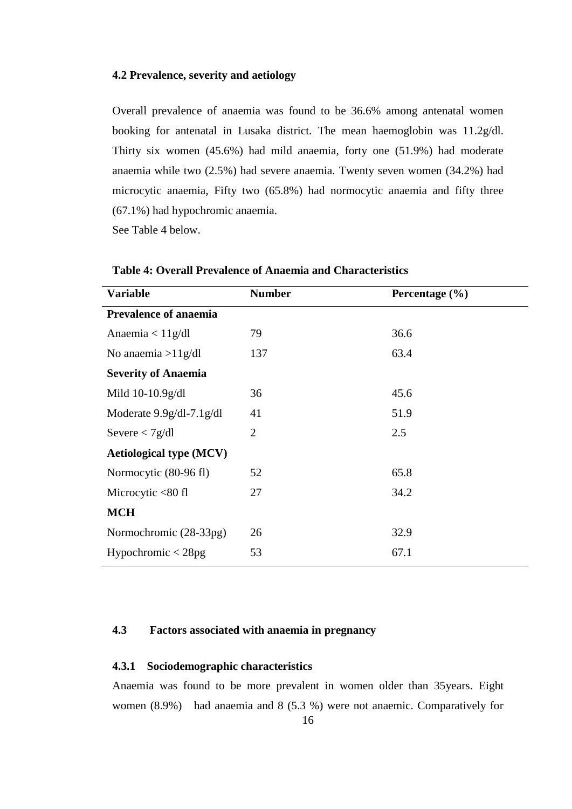### <span id="page-28-0"></span>**4.2 Prevalence, severity and aetiology**

Overall prevalence of anaemia was found to be 36.6% among antenatal women booking for antenatal in Lusaka district. The mean haemoglobin was 11.2g/dl. Thirty six women (45.6%) had mild anaemia, forty one (51.9%) had moderate anaemia while two (2.5%) had severe anaemia. Twenty seven women (34.2%) had microcytic anaemia, Fifty two (65.8%) had normocytic anaemia and fifty three (67.1%) had hypochromic anaemia.

See Table 4 below.

| <b>Variable</b>                | <b>Number</b>  | Percentage $(\% )$ |
|--------------------------------|----------------|--------------------|
| <b>Prevalence of anaemia</b>   |                |                    |
| Anaemia $< 11$ g/dl            | 79             | 36.6               |
| No anaemia > $11g/dl$          | 137            | 63.4               |
| <b>Severity of Anaemia</b>     |                |                    |
| Mild 10-10.9g/dl               | 36             | 45.6               |
| Moderate $9.9g/dl$ -7.1 $g/dl$ | 41             | 51.9               |
| Severe $\langle 7g/dl$         | $\overline{2}$ | 2.5                |
| <b>Aetiological type (MCV)</b> |                |                    |
| Normocytic (80-96 fl)          | 52             | 65.8               |
| Microcytic $<80$ fl            | 27             | 34.2               |
| <b>MCH</b>                     |                |                    |
| Normochromic (28-33pg)         | 26             | 32.9               |
| Hypochromic $<$ 28pg           | 53             | 67.1               |
|                                |                |                    |

<span id="page-28-2"></span>**Table 4: Overall Prevalence of Anaemia and Characteristics**

# <span id="page-28-1"></span>**4.3 Factors associated with anaemia in pregnancy**

#### **4.3.1 Sociodemographic characteristics**

Anaemia was found to be more prevalent in women older than 35years. Eight women (8.9%) had anaemia and 8 (5.3 %) were not anaemic. Comparatively for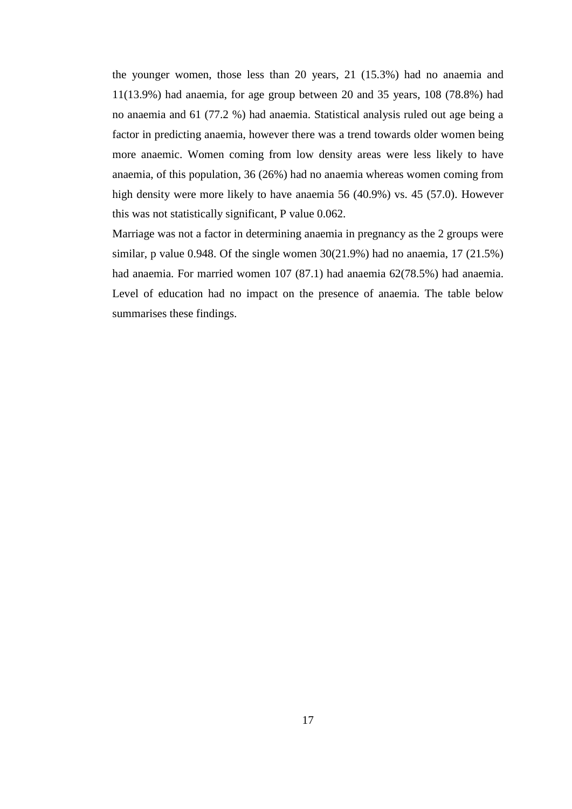the younger women, those less than 20 years, 21 (15.3%) had no anaemia and 11(13.9%) had anaemia, for age group between 20 and 35 years, 108 (78.8%) had no anaemia and 61 (77.2 %) had anaemia. Statistical analysis ruled out age being a factor in predicting anaemia, however there was a trend towards older women being more anaemic. Women coming from low density areas were less likely to have anaemia, of this population, 36 (26%) had no anaemia whereas women coming from high density were more likely to have anaemia 56 (40.9%) vs. 45 (57.0). However this was not statistically significant, P value 0.062.

Marriage was not a factor in determining anaemia in pregnancy as the 2 groups were similar, p value 0.948. Of the single women  $30(21.9%)$  had no anaemia,  $17(21.5%)$ had anaemia. For married women 107 (87.1) had anaemia 62(78.5%) had anaemia. Level of education had no impact on the presence of anaemia. The table below summarises these findings.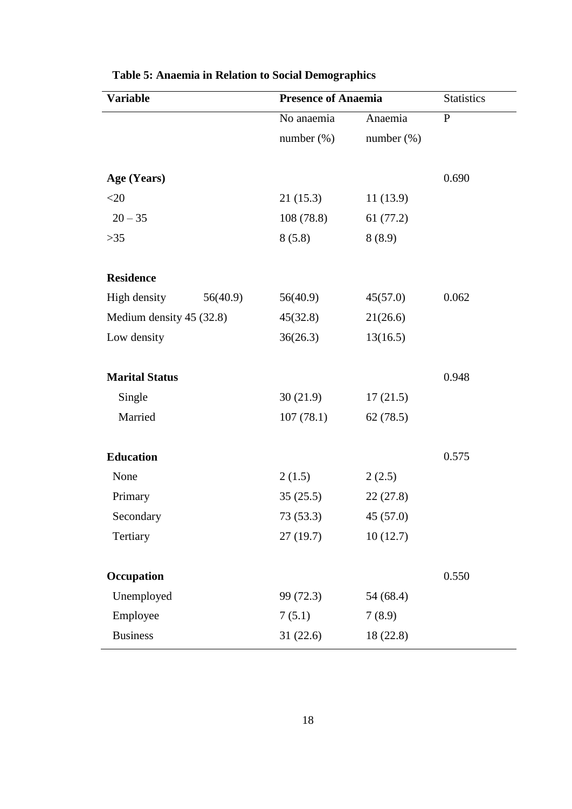| <b>Variable</b>          |          | <b>Presence of Anaemia</b> |               | <b>Statistics</b> |
|--------------------------|----------|----------------------------|---------------|-------------------|
|                          |          | No anaemia                 | Anaemia       | $\mathbf{P}$      |
|                          |          | number $(\%)$              | number $(\%)$ |                   |
|                          |          |                            |               |                   |
| Age (Years)              |          |                            |               | 0.690             |
| $<$ 20                   |          | 21(15.3)                   | 11(13.9)      |                   |
| $20 - 35$                |          | 108(78.8)                  | 61(77.2)      |                   |
| $>35$                    |          | 8(5.8)                     | 8(8.9)        |                   |
|                          |          |                            |               |                   |
| <b>Residence</b>         |          |                            |               |                   |
| High density             | 56(40.9) | 56(40.9)                   | 45(57.0)      | 0.062             |
| Medium density 45 (32.8) |          | 45(32.8)                   | 21(26.6)      |                   |
| Low density              |          | 36(26.3)                   | 13(16.5)      |                   |
|                          |          |                            |               |                   |
| <b>Marital Status</b>    |          |                            |               | 0.948             |
| Single                   |          | 30(21.9)                   | 17(21.5)      |                   |
| Married                  |          | 107(78.1)                  | 62(78.5)      |                   |
|                          |          |                            |               |                   |
| <b>Education</b>         |          |                            |               | 0.575             |
| None                     |          | 2(1.5)                     | 2(2.5)        |                   |
| Primary                  |          | 35(25.5)                   | 22(27.8)      |                   |
| Secondary                |          | 73 (53.3)                  | 45 (57.0)     |                   |
| Tertiary                 |          | 27(19.7)                   | 10(12.7)      |                   |
|                          |          |                            |               |                   |
| Occupation               |          |                            |               | 0.550             |
| Unemployed               |          | 99 (72.3)                  | 54 (68.4)     |                   |
| Employee                 |          | 7(5.1)                     | 7(8.9)        |                   |
| <b>Business</b>          |          | 31(22.6)                   | 18 (22.8)     |                   |

<span id="page-30-0"></span>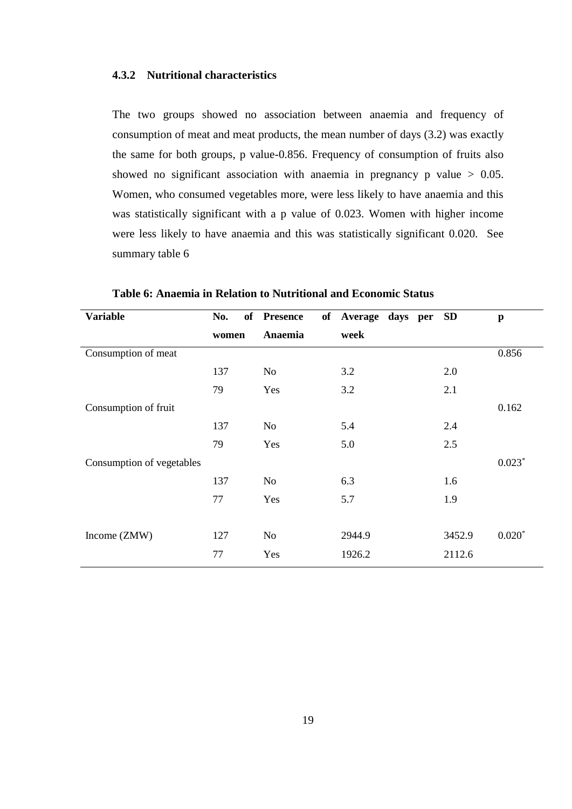# **4.3.2 Nutritional characteristics**

The two groups showed no association between anaemia and frequency of consumption of meat and meat products, the mean number of days (3.2) was exactly the same for both groups, p value-0.856. Frequency of consumption of fruits also showed no significant association with anaemia in pregnancy  $p$  value  $> 0.05$ . Women, who consumed vegetables more, were less likely to have anaemia and this was statistically significant with a p value of 0.023. Women with higher income were less likely to have anaemia and this was statistically significant 0.020. See summary table 6

| <b>Variable</b>           | No.   | of Presence | of Average days per | <b>SD</b> | $\mathbf{p}$ |
|---------------------------|-------|-------------|---------------------|-----------|--------------|
|                           | women | Anaemia     | week                |           |              |
| Consumption of meat       |       |             |                     |           | 0.856        |
|                           | 137   | No          | 3.2                 | 2.0       |              |
|                           | 79    | Yes         | 3.2                 | 2.1       |              |
| Consumption of fruit      |       |             |                     |           | 0.162        |
|                           | 137   | No          | 5.4                 | 2.4       |              |
|                           | 79    | Yes         | 5.0                 | 2.5       |              |
| Consumption of vegetables |       |             |                     |           | $0.023*$     |
|                           | 137   | No          | 6.3                 | 1.6       |              |
|                           | 77    | Yes         | 5.7                 | 1.9       |              |
|                           |       |             |                     |           |              |
| Income (ZMW)              | 127   | No          | 2944.9              | 3452.9    | $0.020*$     |
|                           | 77    | Yes         | 1926.2              | 2112.6    |              |

<span id="page-31-0"></span>**Table 6: Anaemia in Relation to Nutritional and Economic Status**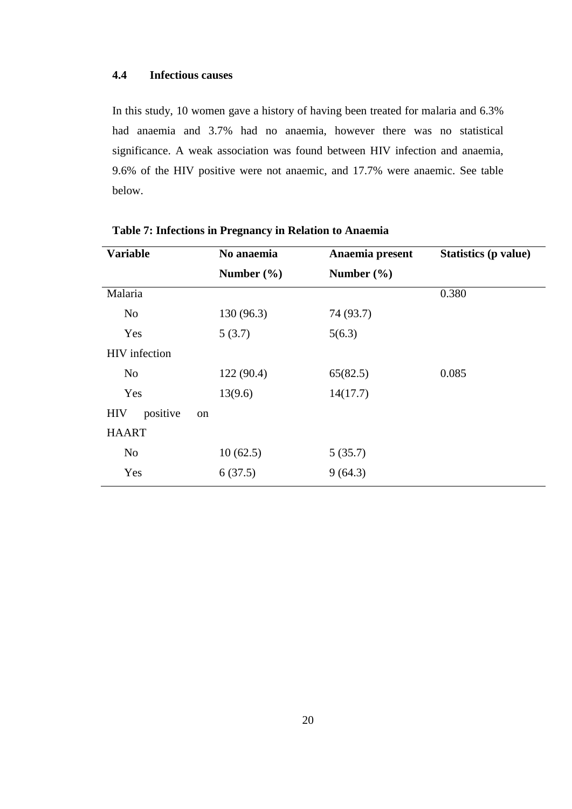# <span id="page-32-0"></span>**4.4 Infectious causes**

In this study, 10 women gave a history of having been treated for malaria and 6.3% had anaemia and 3.7% had no anaemia, however there was no statistical significance. A weak association was found between HIV infection and anaemia, 9.6% of the HIV positive were not anaemic, and 17.7% were anaemic. See table below.

| <b>Variable</b>              | No anaemia     | Anaemia present | Statistics (p value) |
|------------------------------|----------------|-----------------|----------------------|
|                              | Number $(\% )$ | Number $(\% )$  |                      |
| Malaria                      |                |                 | 0.380                |
| N <sub>o</sub>               | 130(96.3)      | 74 (93.7)       |                      |
| Yes                          | 5(3.7)         | 5(6.3)          |                      |
| <b>HIV</b> infection         |                |                 |                      |
| N <sub>o</sub>               | 122(90.4)      | 65(82.5)        | 0.085                |
| Yes                          | 13(9.6)        | 14(17.7)        |                      |
| positive<br><b>HIV</b><br>on |                |                 |                      |
| <b>HAART</b>                 |                |                 |                      |
| N <sub>o</sub>               | 10(62.5)       | 5(35.7)         |                      |
| Yes                          | 6(37.5)        | 9(64.3)         |                      |
|                              |                |                 |                      |

### <span id="page-32-1"></span>**Table 7: Infections in Pregnancy in Relation to Anaemia**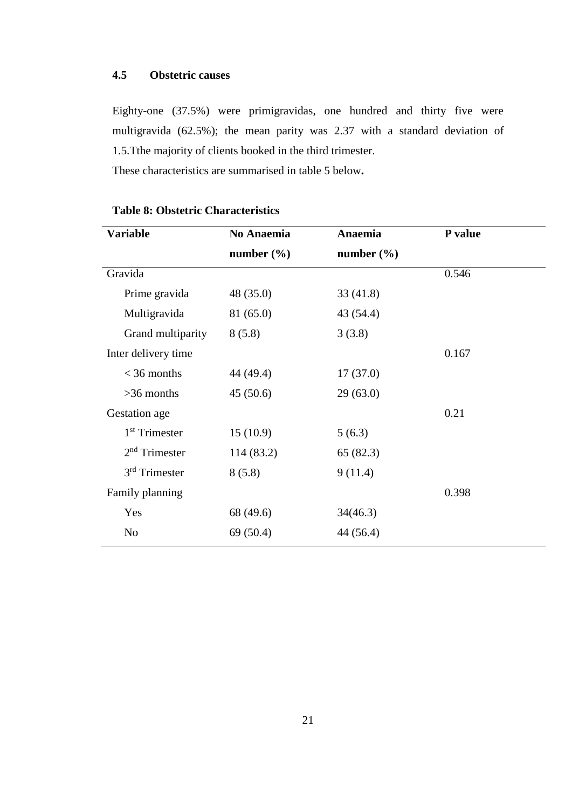# <span id="page-33-0"></span>**4.5 Obstetric causes**

Eighty-one (37.5%) were primigravidas, one hundred and thirty five were multigravida (62.5%); the mean parity was 2.37 with a standard deviation of 1.5.Tthe majority of clients booked in the third trimester.

These characteristics are summarised in table 5 below**.**

| <b>Variable</b>           | No Anaemia     | Anaemia        | P value |
|---------------------------|----------------|----------------|---------|
|                           | number $(\% )$ | number $(\% )$ |         |
| Gravida                   |                |                | 0.546   |
| Prime gravida             | 48 (35.0)      | 33(41.8)       |         |
| Multigravida              | 81 (65.0)      | 43 (54.4)      |         |
| Grand multiparity         | 8(5.8)         | 3(3.8)         |         |
| Inter delivery time       |                |                | 0.167   |
| $<$ 36 months             | 44 (49.4)      | 17(37.0)       |         |
| $>36$ months              | 45(50.6)       | 29(63.0)       |         |
| Gestation age             |                |                | 0.21    |
| 1 <sup>st</sup> Trimester | 15(10.9)       | 5(6.3)         |         |
| $2nd$ Trimester           | 114 (83.2)     | 65(82.3)       |         |
| $3rd$ Trimester           | 8(5.8)         | 9(11.4)        |         |
| Family planning           |                |                | 0.398   |
| Yes                       | 68 (49.6)      | 34(46.3)       |         |
| N <sub>o</sub>            | 69(50.4)       | 44 (56.4)      |         |

# <span id="page-33-1"></span>**Table 8: Obstetric Characteristics**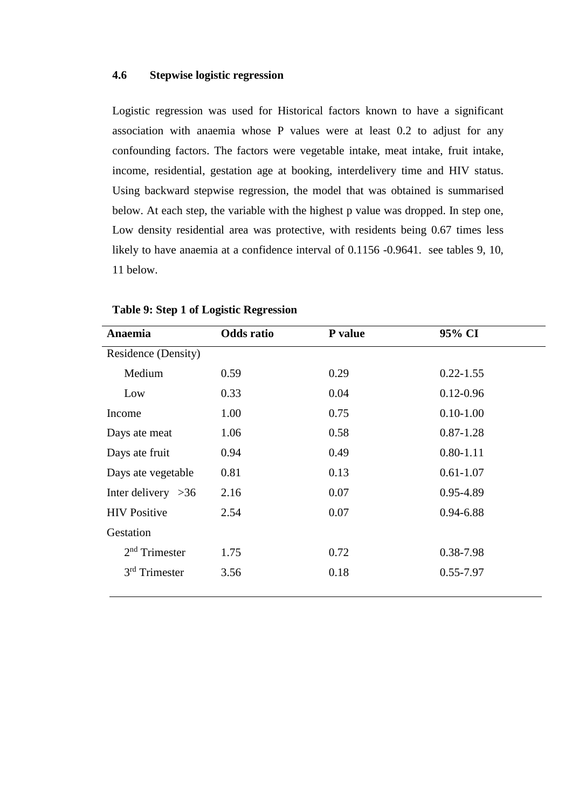### <span id="page-34-1"></span><span id="page-34-0"></span>**4.6 Stepwise logistic regression**

Logistic regression was used for Historical factors known to have a significant association with anaemia whose P values were at least 0.2 to adjust for any confounding factors. The factors were vegetable intake, meat intake, fruit intake, income, residential, gestation age at booking, interdelivery time and HIV status. Using backward stepwise regression, the model that was obtained is summarised below. At each step, the variable with the highest p value was dropped. In step one, Low density residential area was protective, with residents being 0.67 times less likely to have anaemia at a confidence interval of 0.1156 -0.9641. see tables 9, 10, 11 below.

| Anaemia              | <b>Odds</b> ratio | P value | 95% CI        |  |
|----------------------|-------------------|---------|---------------|--|
| Residence (Density)  |                   |         |               |  |
| Medium               | 0.59              | 0.29    | $0.22 - 1.55$ |  |
| Low                  | 0.33              | 0.04    | $0.12 - 0.96$ |  |
| Income               | 1.00              | 0.75    | $0.10 - 1.00$ |  |
| Days ate meat        | 1.06              | 0.58    | $0.87 - 1.28$ |  |
| Days ate fruit       | 0.94              | 0.49    | $0.80 - 1.11$ |  |
| Days ate vegetable   | 0.81              | 0.13    | $0.61 - 1.07$ |  |
| Inter delivery $>36$ | 2.16              | 0.07    | 0.95-4.89     |  |
| <b>HIV Positive</b>  | 2.54              | 0.07    | $0.94 - 6.88$ |  |
| Gestation            |                   |         |               |  |
| $2nd$ Trimester      | 1.75              | 0.72    | 0.38-7.98     |  |
| $3rd$ Trimester      | 3.56              | 0.18    | $0.55 - 7.97$ |  |
|                      |                   |         |               |  |

### **Table 9: Step 1 of Logistic Regression**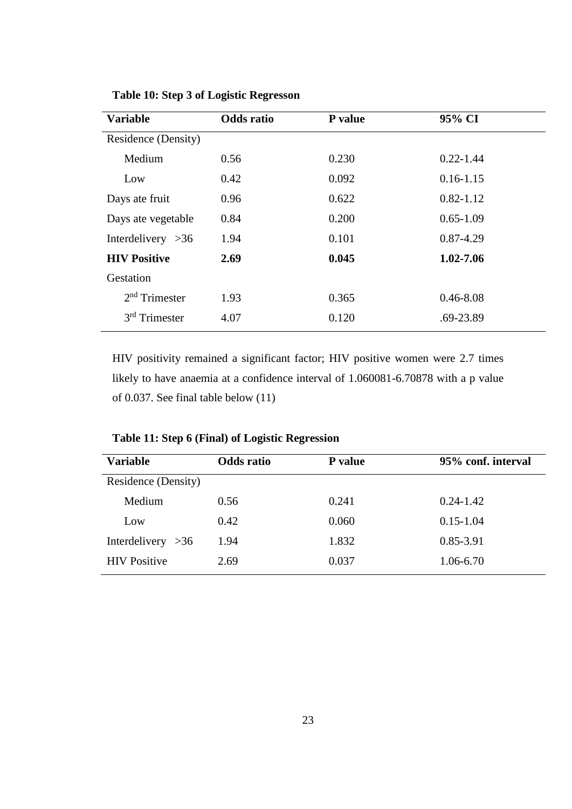| <b>Variable</b>     | <b>Odds</b> ratio | P value | 95% CI        |
|---------------------|-------------------|---------|---------------|
| Residence (Density) |                   |         |               |
| Medium              | 0.56              | 0.230   | $0.22 - 1.44$ |
| Low                 | 0.42              | 0.092   | $0.16 - 1.15$ |
| Days ate fruit      | 0.96              | 0.622   | $0.82 - 1.12$ |
| Days ate vegetable  | 0.84              | 0.200   | $0.65 - 1.09$ |
| Interdelivery $>36$ | 1.94              | 0.101   | 0.87-4.29     |
| <b>HIV Positive</b> | 2.69              | 0.045   | 1.02-7.06     |
| Gestation           |                   |         |               |
| $2nd$ Trimester     | 1.93              | 0.365   | $0.46 - 8.08$ |
| $3rd$ Trimester     | 4.07              | 0.120   | .69-23.89     |

<span id="page-35-0"></span>**Table 10: Step 3 of Logistic Regresson**

HIV positivity remained a significant factor; HIV positive women were 2.7 times likely to have anaemia at a confidence interval of 1.060081-6.70878 with a p value of 0.037. See final table below (11)

<span id="page-35-1"></span>

| Table 11: Step 6 (Final) of Logistic Regression |  |  |  |
|-------------------------------------------------|--|--|--|
|-------------------------------------------------|--|--|--|

| <b>Variable</b>     | <b>Odds</b> ratio | <b>P</b> value | 95% conf. interval |
|---------------------|-------------------|----------------|--------------------|
| Residence (Density) |                   |                |                    |
| Medium              | 0.56              | 0.241          | $0.24 - 1.42$      |
| Low                 | 0.42              | 0.060          | $0.15 - 1.04$      |
| Interdelivery $>36$ | 1.94              | 1.832          | 0.85-3.91          |
| <b>HIV</b> Positive | 2.69              | 0.037          | 1.06-6.70          |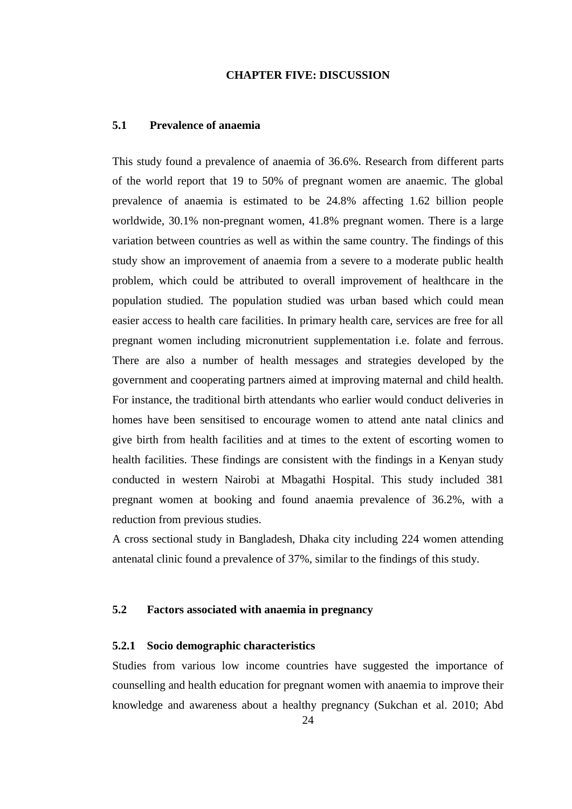#### **CHAPTER FIVE: DISCUSSION**

### <span id="page-36-1"></span><span id="page-36-0"></span>**5.1 Prevalence of anaemia**

This study found a prevalence of anaemia of 36.6%. Research from different parts of the world report that 19 to 50% of pregnant women are anaemic. The global prevalence of anaemia is estimated to be 24.8% affecting 1.62 billion people worldwide, 30.1% non-pregnant women, 41.8% pregnant women. There is a large variation between countries as well as within the same country. The findings of this study show an improvement of anaemia from a severe to a moderate public health problem, which could be attributed to overall improvement of healthcare in the population studied. The population studied was urban based which could mean easier access to health care facilities. In primary health care, services are free for all pregnant women including micronutrient supplementation i.e. folate and ferrous. There are also a number of health messages and strategies developed by the government and cooperating partners aimed at improving maternal and child health. For instance, the traditional birth attendants who earlier would conduct deliveries in homes have been sensitised to encourage women to attend ante natal clinics and give birth from health facilities and at times to the extent of escorting women to health facilities. These findings are consistent with the findings in a Kenyan study conducted in western Nairobi at Mbagathi Hospital. This study included 381 pregnant women at booking and found anaemia prevalence of 36.2%, with a reduction from previous studies.

A cross sectional study in Bangladesh, Dhaka city including 224 women attending antenatal clinic found a prevalence of 37%, similar to the findings of this study.

# <span id="page-36-2"></span>**5.2 Factors associated with anaemia in pregnancy**

### **5.2.1 Socio demographic characteristics**

Studies from various low income countries have suggested the importance of counselling and health education for pregnant women with anaemia to improve their knowledge and awareness about a healthy pregnancy (Sukchan et al. 2010; Abd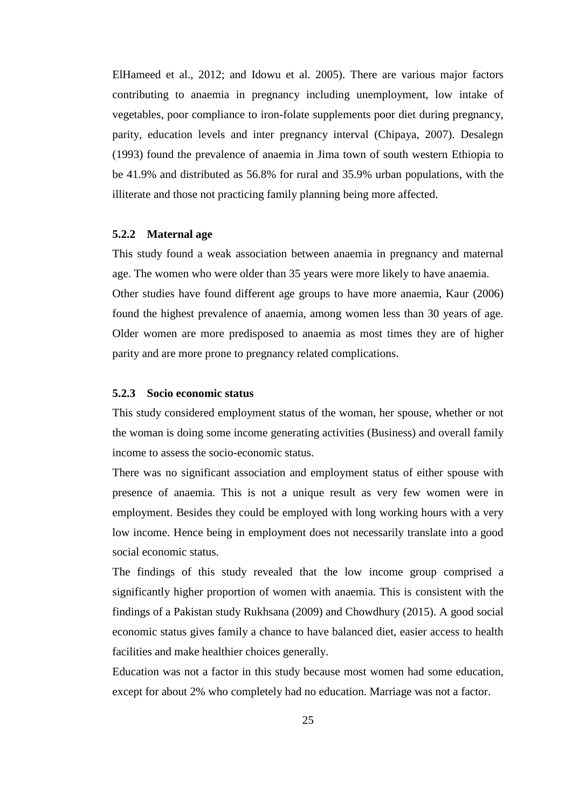ElHameed et al., 2012; and Idowu et al. 2005). There are various major factors contributing to anaemia in pregnancy including unemployment, low intake of vegetables, poor compliance to iron-folate supplements poor diet during pregnancy, parity, education levels and inter pregnancy interval (Chipaya, 2007). Desalegn (1993) found the prevalence of anaemia in Jima town of south western Ethiopia to be 41.9% and distributed as 56.8% for rural and 35.9% urban populations, with the illiterate and those not practicing family planning being more affected.

### **5.2.2 Maternal age**

This study found a weak association between anaemia in pregnancy and maternal age. The women who were older than 35 years were more likely to have anaemia. Other studies have found different age groups to have more anaemia, Kaur (2006) found the highest prevalence of anaemia, among women less than 30 years of age. Older women are more predisposed to anaemia as most times they are of higher parity and are more prone to pregnancy related complications.

### **5.2.3 Socio economic status**

This study considered employment status of the woman, her spouse, whether or not the woman is doing some income generating activities (Business) and overall family income to assess the socio-economic status.

There was no significant association and employment status of either spouse with presence of anaemia. This is not a unique result as very few women were in employment. Besides they could be employed with long working hours with a very low income. Hence being in employment does not necessarily translate into a good social economic status.

The findings of this study revealed that the low income group comprised a significantly higher proportion of women with anaemia. This is consistent with the findings of a Pakistan study Rukhsana (2009) and Chowdhury (2015). A good social economic status gives family a chance to have balanced diet, easier access to health facilities and make healthier choices generally.

Education was not a factor in this study because most women had some education, except for about 2% who completely had no education. Marriage was not a factor.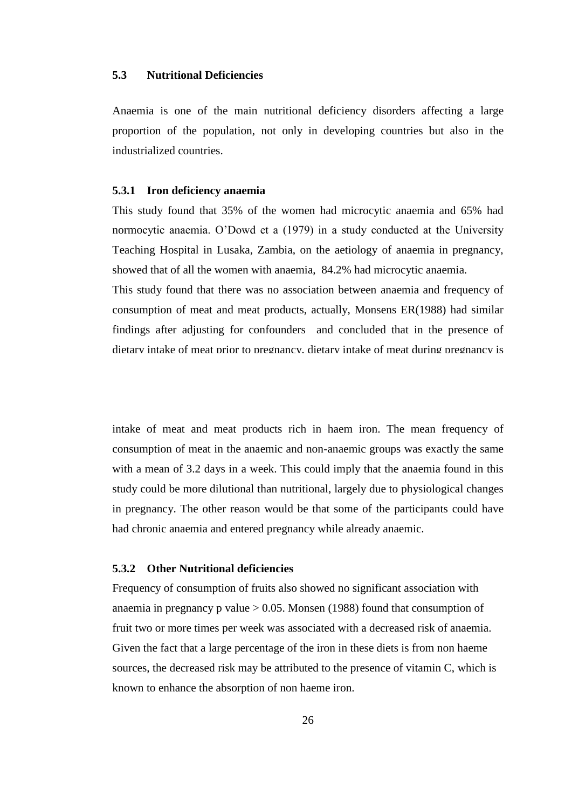### <span id="page-38-0"></span>**5.3 Nutritional Deficiencies**

Anaemia is one of the main nutritional deficiency disorders affecting a large proportion of the population, not only in developing countries but also in the industrialized countries.

### **5.3.1 Iron deficiency anaemia**

This study found that 35% of the women had microcytic anaemia and 65% had normocytic anaemia. O'Dowd et a (1979) in a study conducted at the University Teaching Hospital in Lusaka, Zambia, on the aetiology of anaemia in pregnancy, showed that of all the women with anaemia, 84.2% had microcytic anaemia.

This study found that there was no association between anaemia and frequency of consumption of meat and meat products, actually, Monsens ER(1988) had similar findings after adjusting for confounders and concluded that in the presence of dietary intake of meat prior to pregnancy, dietary intake of meat during pregnancy is

intake of meat and meat products rich in haem iron. The mean frequency of consumption of meat in the anaemic and non-anaemic groups was exactly the same with a mean of 3.2 days in a week. This could imply that the anaemia found in this study could be more dilutional than nutritional, largely due to physiological changes in pregnancy. The other reason would be that some of the participants could have had chronic anaemia and entered pregnancy while already anaemic.

### **5.3.2 Other Nutritional deficiencies**

Frequency of consumption of fruits also showed no significant association with anaemia in pregnancy p value  $> 0.05$ . Monsen (1988) found that consumption of fruit two or more times per week was associated with a decreased risk of anaemia. Given the fact that a large percentage of the iron in these diets is from non haeme sources, the decreased risk may be attributed to the presence of vitamin C, which is known to enhance the absorption of non haeme iron.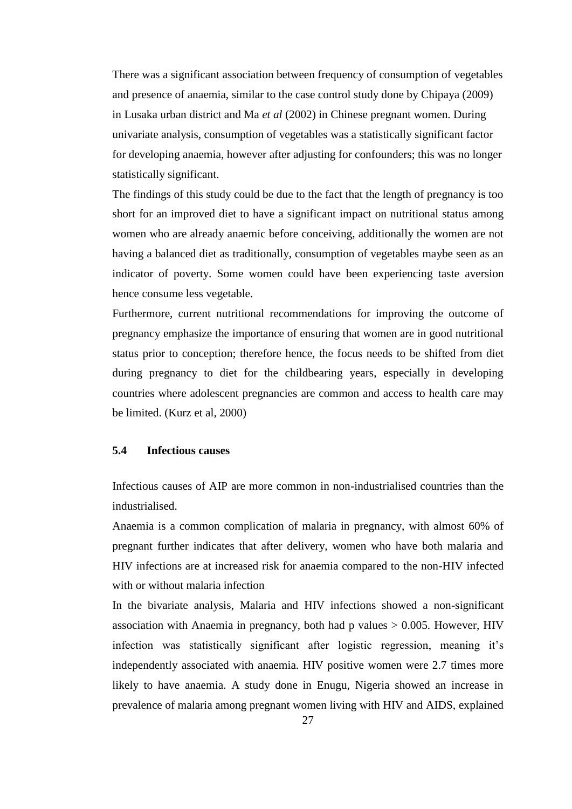There was a significant association between frequency of consumption of vegetables and presence of anaemia, similar to the case control study done by Chipaya (2009) in Lusaka urban district and Ma *et al* (2002) in Chinese pregnant women. During univariate analysis, consumption of vegetables was a statistically significant factor for developing anaemia, however after adjusting for confounders; this was no longer statistically significant.

The findings of this study could be due to the fact that the length of pregnancy is too short for an improved diet to have a significant impact on nutritional status among women who are already anaemic before conceiving, additionally the women are not having a balanced diet as traditionally, consumption of vegetables maybe seen as an indicator of poverty. Some women could have been experiencing taste aversion hence consume less vegetable.

Furthermore, current nutritional recommendations for improving the outcome of pregnancy emphasize the importance of ensuring that women are in good nutritional status prior to conception; therefore hence, the focus needs to be shifted from diet during pregnancy to diet for the childbearing years, especially in developing countries where adolescent pregnancies are common and access to health care may be limited. (Kurz et al, 2000)

### <span id="page-39-0"></span>**5.4 Infectious causes**

Infectious causes of AIP are more common in non-industrialised countries than the industrialised.

Anaemia is a common complication of malaria in pregnancy, with almost 60% of pregnant further indicates that after delivery, women who have both malaria and HIV infections are at increased risk for anaemia compared to the non-HIV infected with or without malaria infection

In the bivariate analysis, Malaria and HIV infections showed a non-significant association with Anaemia in pregnancy, both had p values  $> 0.005$ . However, HIV infection was statistically significant after logistic regression, meaning it's independently associated with anaemia. HIV positive women were 2.7 times more likely to have anaemia. A study done in Enugu, Nigeria showed an increase in prevalence of malaria among pregnant women living with HIV and AIDS, explained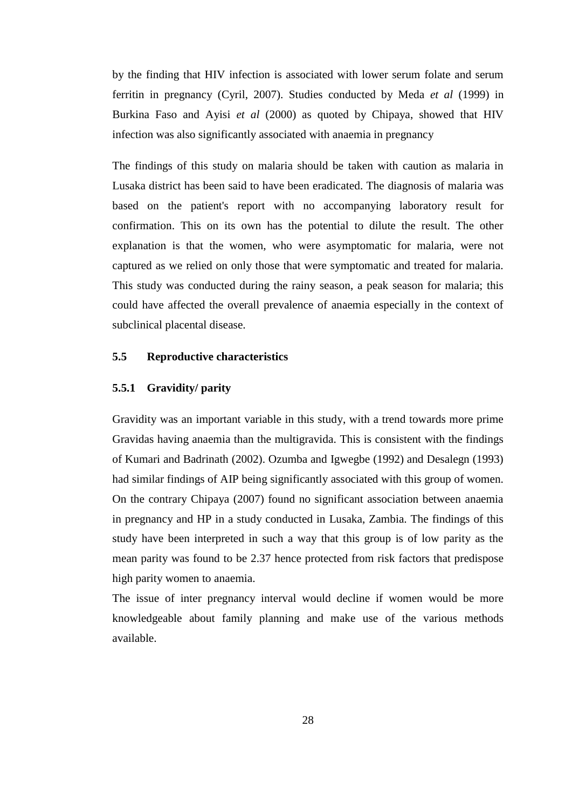by the finding that HIV infection is associated with lower serum folate and serum ferritin in pregnancy (Cyril, 2007). Studies conducted by Meda *et al* (1999) in Burkina Faso and Ayisi *et al* (2000) as quoted by Chipaya, showed that HIV infection was also significantly associated with anaemia in pregnancy

The findings of this study on malaria should be taken with caution as malaria in Lusaka district has been said to have been eradicated. The diagnosis of malaria was based on the patient's report with no accompanying laboratory result for confirmation. This on its own has the potential to dilute the result. The other explanation is that the women, who were asymptomatic for malaria, were not captured as we relied on only those that were symptomatic and treated for malaria. This study was conducted during the rainy season, a peak season for malaria; this could have affected the overall prevalence of anaemia especially in the context of subclinical placental disease.

### <span id="page-40-0"></span>**5.5 Reproductive characteristics**

### **5.5.1 Gravidity/ parity**

Gravidity was an important variable in this study, with a trend towards more prime Gravidas having anaemia than the multigravida. This is consistent with the findings of Kumari and Badrinath (2002). Ozumba and Igwegbe (1992) and Desalegn (1993) had similar findings of AIP being significantly associated with this group of women. On the contrary Chipaya (2007) found no significant association between anaemia in pregnancy and HP in a study conducted in Lusaka, Zambia. The findings of this study have been interpreted in such a way that this group is of low parity as the mean parity was found to be 2.37 hence protected from risk factors that predispose high parity women to anaemia.

The issue of inter pregnancy interval would decline if women would be more knowledgeable about family planning and make use of the various methods available.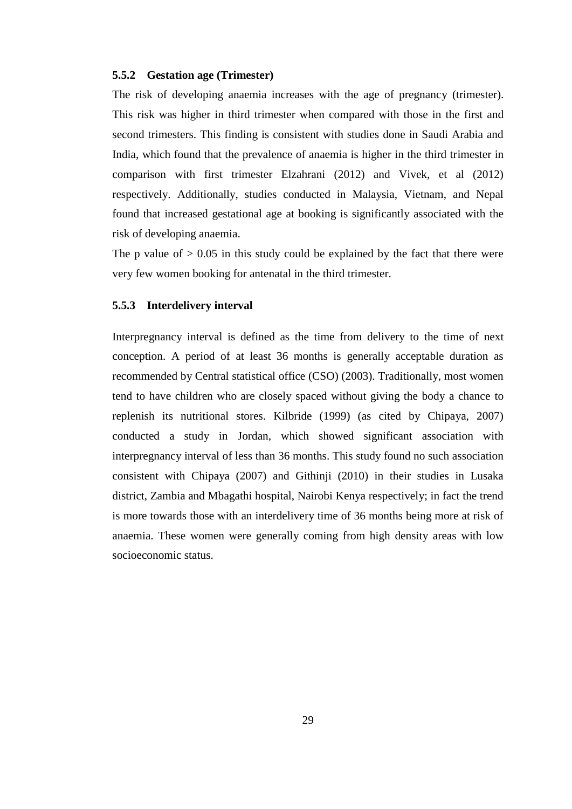#### **5.5.2 Gestation age (Trimester)**

The risk of developing anaemia increases with the age of pregnancy (trimester). This risk was higher in third trimester when compared with those in the first and second trimesters. This finding is consistent with studies done in Saudi Arabia and India, which found that the prevalence of anaemia is higher in the third trimester in comparison with first trimester Elzahrani (2012) and Vivek, et al (2012) respectively. Additionally, studies conducted in Malaysia, Vietnam, and Nepal found that increased gestational age at booking is significantly associated with the risk of developing anaemia.

The p value of  $> 0.05$  in this study could be explained by the fact that there were very few women booking for antenatal in the third trimester.

### **5.5.3 Interdelivery interval**

Interpregnancy interval is defined as the time from delivery to the time of next conception. A period of at least 36 months is generally acceptable duration as recommended by Central statistical office (CSO) (2003). Traditionally, most women tend to have children who are closely spaced without giving the body a chance to replenish its nutritional stores. Kilbride (1999) (as cited by Chipaya, 2007) conducted a study in Jordan, which showed significant association with interpregnancy interval of less than 36 months. This study found no such association consistent with Chipaya (2007) and Githinji (2010) in their studies in Lusaka district, Zambia and Mbagathi hospital, Nairobi Kenya respectively; in fact the trend is more towards those with an interdelivery time of 36 months being more at risk of anaemia. These women were generally coming from high density areas with low socioeconomic status.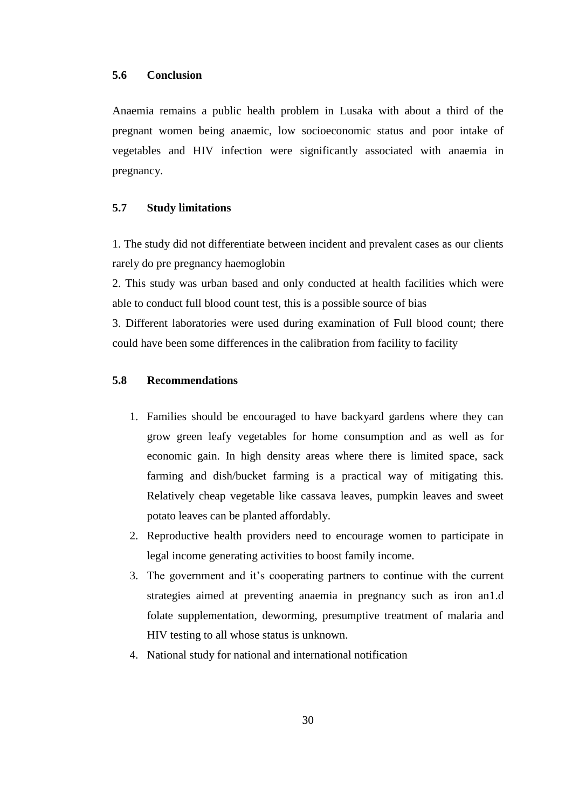<span id="page-42-0"></span>Anaemia remains a public health problem in Lusaka with about a third of the pregnant women being anaemic, low socioeconomic status and poor intake of vegetables and HIV infection were significantly associated with anaemia in pregnancy.

# <span id="page-42-1"></span>**5.7 Study limitations**

1. The study did not differentiate between incident and prevalent cases as our clients rarely do pre pregnancy haemoglobin

2. This study was urban based and only conducted at health facilities which were able to conduct full blood count test, this is a possible source of bias

3. Different laboratories were used during examination of Full blood count; there could have been some differences in the calibration from facility to facility

### <span id="page-42-2"></span>**5.8 Recommendations**

- 1. Families should be encouraged to have backyard gardens where they can grow green leafy vegetables for home consumption and as well as for economic gain. In high density areas where there is limited space, sack farming and dish/bucket farming is a practical way of mitigating this. Relatively cheap vegetable like cassava leaves, pumpkin leaves and sweet potato leaves can be planted affordably.
- 2. Reproductive health providers need to encourage women to participate in legal income generating activities to boost family income.
- 3. The government and it's cooperating partners to continue with the current strategies aimed at preventing anaemia in pregnancy such as iron an1.d folate supplementation, deworming, presumptive treatment of malaria and HIV testing to all whose status is unknown.
- 4. National study for national and international notification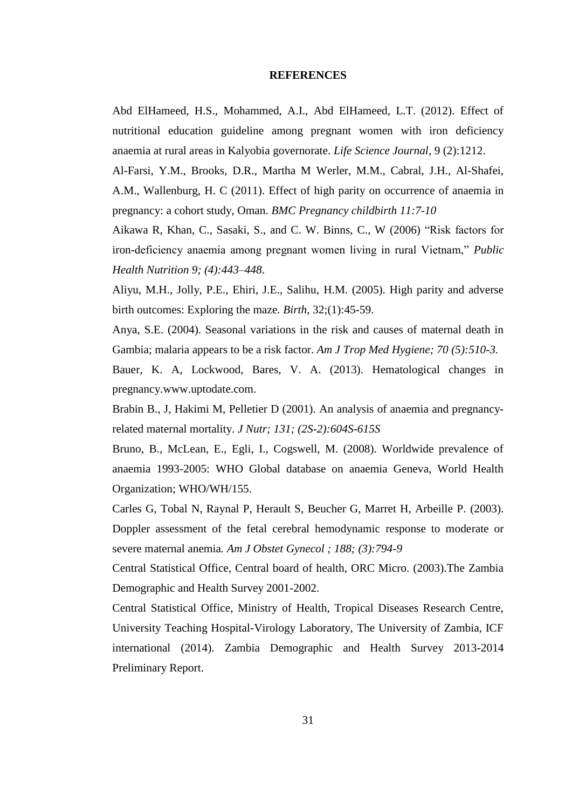### **REFERENCES**

<span id="page-43-0"></span>Abd ElHameed, H.S., Mohammed, A.I., Abd ElHameed, L.T. (2012). Effect of nutritional education guideline among pregnant women with iron deficiency anaemia at rural areas in Kalyobia governorate. *Life Science Journal*, 9 (2):1212.

Al-Farsi, Y.M., Brooks, D.R., Martha M Werler, M.M., Cabral, J.H., Al-Shafei, A.M., Wallenburg, H. C (2011). Effect of high parity on occurrence of anaemia in pregnancy: a cohort study, Oman. *BMC Pregnancy childbirth 11:7-10*

Aikawa R, Khan, C., Sasaki, S., and C. W. Binns, C., W (2006) "Risk factors for iron-deficiency anaemia among pregnant women living in rural Vietnam," *Public Health Nutrition 9; (4):443–448*.

Aliyu, M.H., Jolly, P.E., Ehiri, J.E., Salihu, H.M. (2005). High parity and adverse birth outcomes: Exploring the maze*. Birth*, 32;(1):45-59.

Anya, S.E. (2004). Seasonal variations in the risk and causes of maternal death in Gambia; malaria appears to be a risk factor. *Am J Trop Med Hygiene; 70 (5):510-3.*

Bauer, K. A, Lockwood, Bares, V. A. (2013). Hematological changes in pregnancy.www.uptodate.com.

Brabin B., J, [Hakimi M, Pelletier D \(2001\). An analysis of anaemia and pregnancy](about:blank)related maternal mortality. *[J Nutr; 131; \(2S-2\):604S-615S](about:blank)*

Bruno, B., McLean, E., Egli, I., Cogswell, M. (2008). Worldwide prevalence of anaemia 1993-2005: WHO Global database on anaemia Geneva, World Health Organization; WHO/WH/155.

Carles G, Tobal N, Raynal P, Herault S, Beucher G, Marret H, Arbeille P. (2003). Doppler assessment of the fetal cerebral hemodynamic response to moderate or severe maternal anemia*. Am J Obstet Gynecol ; 188; (3):794-9*

Central Statistical Office, Central board of health, ORC Micro. (2003).The Zambia Demographic and Health Survey 2001-2002.

Central Statistical Office, Ministry of Health, Tropical Diseases Research Centre, University Teaching Hospital-Virology Laboratory, The University of Zambia, ICF international (2014). Zambia Demographic and Health Survey 2013-2014 Preliminary Report.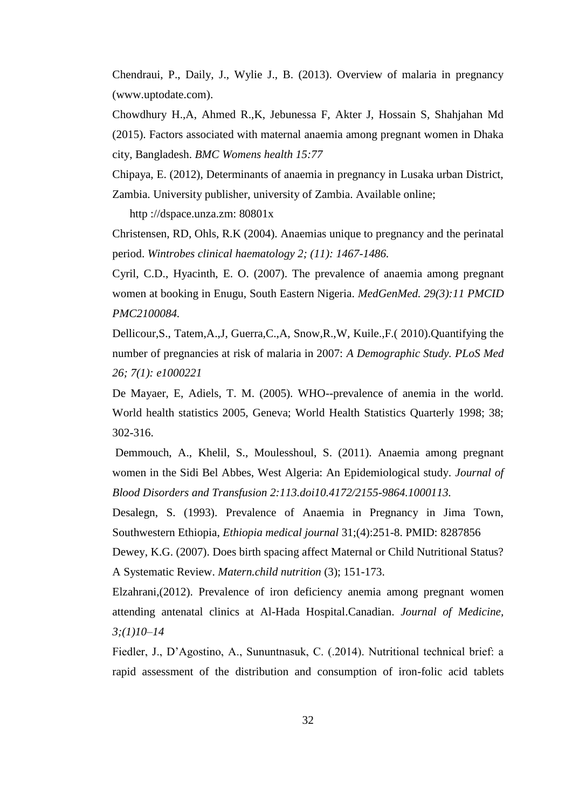Chendraui, P., Daily, J., Wylie J., B. (2013). Overview of malaria in pregnancy (www.uptodate.com).

Chowdhury H.,A, Ahmed R.,K, Jebunessa F, Akter J, Hossain S, Shahjahan Md (2015). Factors associated with maternal anaemia among pregnant women in Dhaka city, Bangladesh. *BMC Womens health 15:77*

Chipaya, E. (2012), Determinants of anaemia in pregnancy in Lusaka urban District, Zambia. University publisher, university of Zambia. Available online;

http ://dspace.unza.zm: 80801x

Christensen, RD, Ohls, R.K (2004). Anaemias unique to pregnancy and the perinatal period. *Wintrobes clinical haematology 2; (11): 1467-1486.*

Cyril, C.D., Hyacinth, E. O. (2007). The prevalence of anaemia among pregnant women at booking in Enugu, South Eastern Nigeria. *MedGenMed. 29(3):11 PMCID PMC2100084.*

Dellicour,S., Tatem,A.,J, Guerra,C.,A, Snow,R.,W, Kuile.,F.( 2010).Quantifying the number of pregnancies at risk of malaria in 2007: *A Demographic Study. PLoS Med 26; 7(1): e1000221*

De Mayaer, E, Adiels, T. M. (2005). WHO--prevalence of anemia in the world. World health statistics 2005, Geneva; World Health Statistics Quarterly 1998; 38; 302-316.

Demmouch, A., Khelil, S., Moulesshoul, S. (2011). Anaemia among pregnant women in the Sidi Bel Abbes, West Algeria: An Epidemiological study*. Journal of Blood Disorders and Transfusion 2:113.doi10.4172/2155-9864.1000113.*

Desalegn, S. (1993). Prevalence of Anaemia in Pregnancy in Jima Town, Southwestern Ethiopia, *Ethiopia medical journal* 31;(4):251-8. PMID: 8287856

Dewey, K.G. (2007). Does birth spacing affect Maternal or Child Nutritional Status? A Systematic Review. *Matern.child nutrition* (3); 151-173.

Elzahrani,(2012). Prevalence of iron deficiency anemia among pregnant women attending antenatal clinics at Al-Hada Hospital.Canadian. *Journal of Medicine, 3;(1)10–14*

Fiedler, J., D'Agostino, A., Sununtnasuk, C. (.2014). Nutritional technical brief: a rapid assessment of the distribution and consumption of iron-folic acid tablets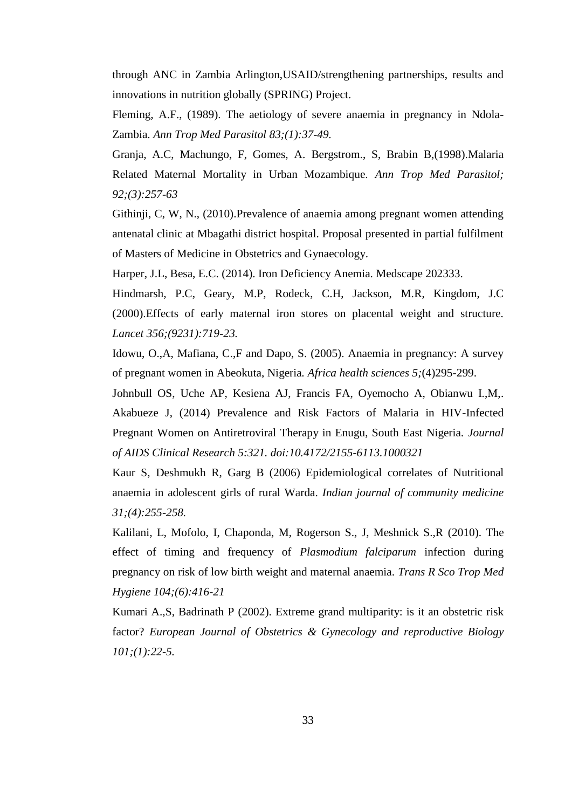through ANC in Zambia Arlington,USAID/strengthening partnerships, results and innovations in nutrition globally (SPRING) Project.

Fleming, A.F., (1989). The aetiology of severe anaemia in pregnancy in Ndola-Zambia. *Ann Trop Med Parasitol 83;(1):37-49.*

Granja, A.C, Machungo, F, Gomes, A. Bergstrom., S, Brabin B,(1998).Malaria Related Maternal Mortality in Urban Mozambique. *Ann Trop Med Parasitol; 92;(3):257-63*

Githinji, C, W, N., (2010).Prevalence of anaemia among pregnant women attending antenatal clinic at Mbagathi district hospital. Proposal presented in partial fulfilment of Masters of Medicine in Obstetrics and Gynaecology.

Harper, J.L, Besa, E.C. (2014). Iron Deficiency Anemia. Medscape 202333.

Hindmarsh, P.C, Geary, M.P, Rodeck, C.H, Jackson, M.R, Kingdom, J.C (2000).Effects of early maternal iron stores on placental weight and structure. *Lancet 356;(9231):719-23.*

Idowu, O.,A, Mafiana, C.,F and Dapo, S. (2005). Anaemia in pregnancy: A survey of pregnant women in Abeokuta, Nigeria*. Africa health sciences 5;*(4)295-299.

Johnbull OS, Uche AP, Kesiena AJ, Francis FA, Oyemocho A, Obianwu I.,M,. Akabueze J, (2014) Prevalence and Risk Factors of Malaria in HIV-Infected Pregnant Women on Antiretroviral Therapy in Enugu, South East Nigeria. *Journal of AIDS Clinical Research 5:321. doi:10.4172/2155-6113.1000321*

Kaur S, Deshmukh R, Garg B (2006) Epidemiological correlates of Nutritional anaemia in adolescent girls of rural Warda. *Indian journal of community medicine 31;(4):255-258.*

Kalilani, L, Mofolo, I, Chaponda, M, Rogerson S., J, Meshnick S.,R (2010). The effect of timing and frequency of *Plasmodium falciparum* infection during pregnancy on risk of low birth weight and maternal anaemia. *Trans R Sco Trop Med Hygiene 104;(6):416-21*

Kumari A.,S, Badrinath P (2002). Extreme grand multiparity: is it an obstetric risk factor? *European Journal of Obstetrics & Gynecology and reproductive Biology 101;(1):22-5.*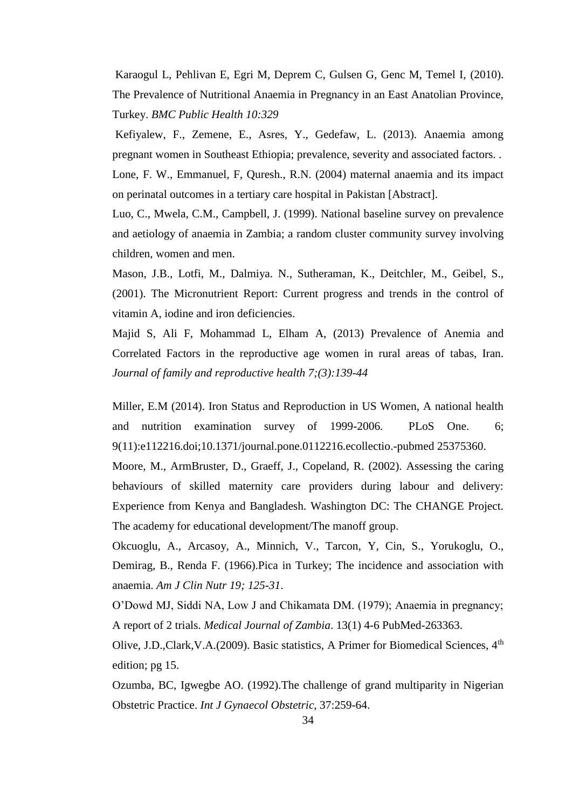Karaogul L, Pehlivan E, Egri M, Deprem C, Gulsen G, Genc M, Temel I, (2010). The Prevalence of Nutritional Anaemia in Pregnancy in an East Anatolian Province, Turkey. *BMC Public Health 10:329*

Kefiyalew, F., Zemene, E., Asres, Y., Gedefaw, L. (2013). Anaemia among pregnant women in Southeast Ethiopia; prevalence, severity and associated factors. . Lone, F. W., Emmanuel, F, Quresh., R.N. (2004) maternal anaemia and its impact on perinatal outcomes in a tertiary care hospital in Pakistan [Abstract].

Luo, C., Mwela, C.M., Campbell, J. (1999). National baseline survey on prevalence and aetiology of anaemia in Zambia; a random cluster community survey involving children, women and men.

Mason, J.B., Lotfi, M., Dalmiya. N., Sutheraman, K., Deitchler, M., Geibel, S., (2001). The Micronutrient Report: Current progress and trends in the control of vitamin A, iodine and iron deficiencies.

Majid S, Ali F, Mohammad L, Elham A, (2013) Prevalence of Anemia and Correlated Factors in the reproductive age women in rural areas of tabas, Iran. *Journal of family and reproductive health 7;(3):139-44*

Miller, E.M (2014). Iron Status and Reproduction in US Women, A national health and nutrition examination survey of 1999-2006. PLoS One. 6; 9(11):e112216.doi;10.1371/journal.pone.0112216.ecollectio.-pubmed 25375360.

Moore, M., ArmBruster, D., Graeff, J., Copeland, R. (2002). Assessing the caring behaviours of skilled maternity care providers during labour and delivery: Experience from Kenya and Bangladesh. Washington DC: The CHANGE Project. The academy for educational development/The manoff group.

Okcuoglu, A., Arcasoy, A., Minnich, V., Tarcon, Y, Cin, S., Yorukoglu, O., Demirag, B., Renda F. (1966).Pica in Turkey; The incidence and association with anaemia. *Am J Clin Nutr 19; 125-31*.

O'Dowd MJ, Siddi NA, Low J and Chikamata DM. (1979); Anaemia in pregnancy; A report of 2 trials. *Medical Journal of Zambia*. 13(1) 4-6 PubMed-263363.

Olive, J.D.,Clark, V.A.(2009). Basic statistics, A Primer for Biomedical Sciences, 4<sup>th</sup> edition; pg 15.

Ozumba, BC, Igwegbe AO. (1992).The challenge of grand multiparity in Nigerian Obstetric Practice. *Int J Gynaecol Obstetric,* 37:259-64.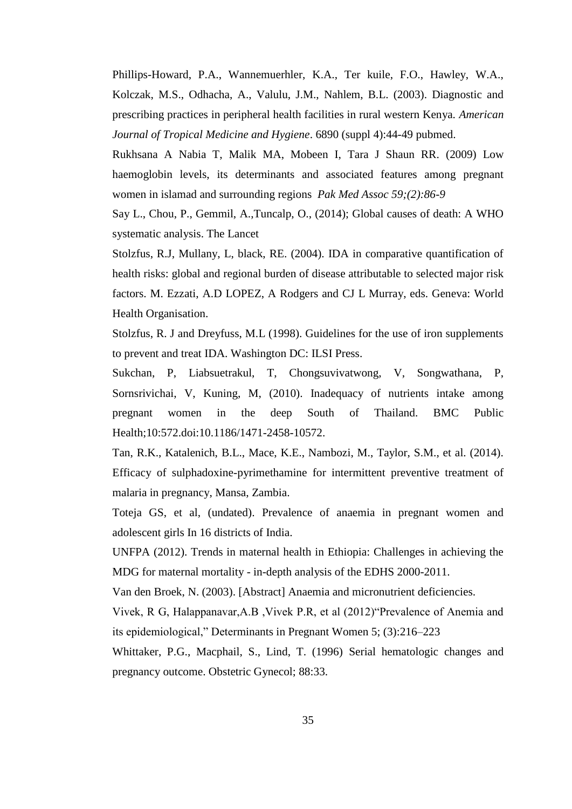Phillips-Howard, P.A., Wannemuerhler, K.A., Ter kuile, F.O., Hawley, W.A., Kolczak, M.S., Odhacha, A., Valulu, J.M., Nahlem, B.L. (2003). Diagnostic and prescribing practices in peripheral health facilities in rural western Kenya. *American Journal of Tropical Medicine and Hygiene*. 6890 (suppl 4):44-49 pubmed.

Rukhsana A Nabia T, Malik MA, Mobeen I, Tara J Shaun RR. (2009) Low haemoglobin levels, its determinants and associated features among pregnant women in islamad and surrounding regions *Pak Med Assoc 59;(2):86-9*

Say L., Chou, P., Gemmil, A.,Tuncalp, O., (2014); Global causes of death: A WHO systematic analysis. The Lancet

Stolzfus, R.J, Mullany, L, black, RE. (2004). IDA in comparative quantification of health risks: global and regional burden of disease attributable to selected major risk factors. M. Ezzati, A.D LOPEZ, A Rodgers and CJ L Murray, eds. Geneva: World Health Organisation.

Stolzfus, R. J and Dreyfuss, M.L (1998). Guidelines for the use of iron supplements to prevent and treat IDA. Washington DC: ILSI Press.

Sukchan, P, Liabsuetrakul, T, Chongsuvivatwong, V, Songwathana, P, Sornsrivichai, V, Kuning, M, (2010). Inadequacy of nutrients intake among pregnant women in the deep South of Thailand. BMC Public Health;10:572.doi:10.1186/1471-2458-10572.

Tan, R.K., Katalenich, B.L., Mace, K.E., Nambozi, M., Taylor, S.M., et al. (2014). Efficacy of sulphadoxine-pyrimethamine for intermittent preventive treatment of malaria in pregnancy, Mansa, Zambia.

Toteja GS, et al, (undated). Prevalence of anaemia in pregnant women and adolescent girls In 16 districts of India.

UNFPA (2012). Trends in maternal health in Ethiopia: Challenges in achieving the MDG for maternal mortality - in-depth analysis of the EDHS 2000-2011.

Van den Broek, N. (2003). [Abstract] Anaemia and micronutrient deficiencies.

Vivek, R G, Halappanavar,A.B ,Vivek P.R, et al (2012)"Prevalence of Anemia and its epidemiological," Determinants in Pregnant Women 5; (3):216–223

Whittaker, P.G., Macphail, S., Lind, T. (1996) Serial hematologic changes and pregnancy outcome. Obstetric Gynecol; 88:33.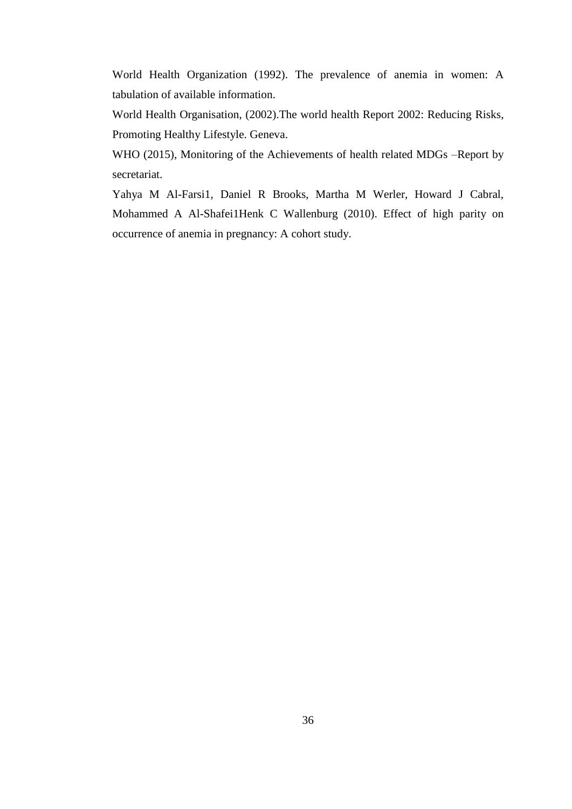World Health Organization (1992). The prevalence of anemia in women: A tabulation of available information.

World Health Organisation, (2002).The world health Report 2002: Reducing Risks, Promoting Healthy Lifestyle. Geneva.

WHO (2015), Monitoring of the Achievements of health related MDGs –Report by secretariat.

Yahya M Al-Farsi1, Daniel R Brooks, Martha M Werler, Howard J Cabral, Mohammed A Al-Shafei1Henk C Wallenburg (2010). Effect of high parity on occurrence of anemia in pregnancy: A cohort study.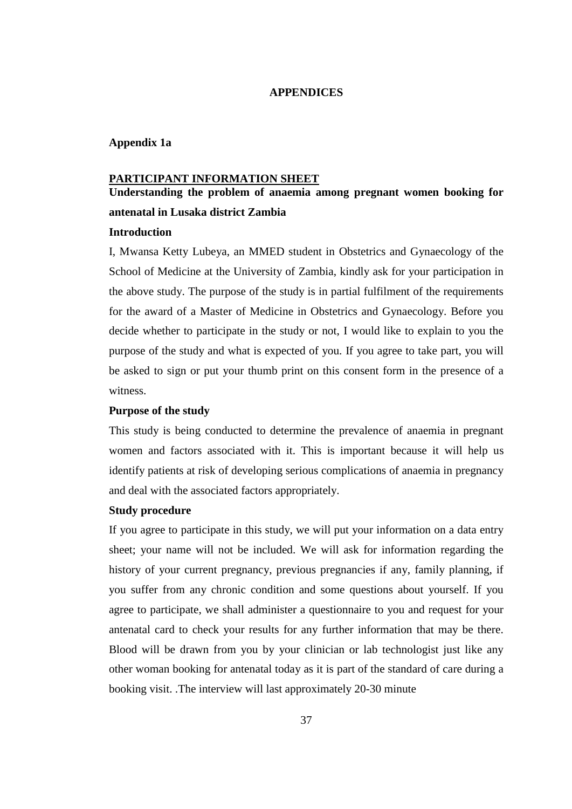### **APPENDICES**

### <span id="page-49-1"></span><span id="page-49-0"></span>**Appendix 1a**

#### **PARTICIPANT INFORMATION SHEET**

# **Understanding the problem of anaemia among pregnant women booking for antenatal in Lusaka district Zambia**

### **Introduction**

I, Mwansa Ketty Lubeya, an MMED student in Obstetrics and Gynaecology of the School of Medicine at the University of Zambia, kindly ask for your participation in the above study. The purpose of the study is in partial fulfilment of the requirements for the award of a Master of Medicine in Obstetrics and Gynaecology. Before you decide whether to participate in the study or not, I would like to explain to you the purpose of the study and what is expected of you. If you agree to take part, you will be asked to sign or put your thumb print on this consent form in the presence of a witness.

### **Purpose of the study**

This study is being conducted to determine the prevalence of anaemia in pregnant women and factors associated with it. This is important because it will help us identify patients at risk of developing serious complications of anaemia in pregnancy and deal with the associated factors appropriately.

### **Study procedure**

If you agree to participate in this study, we will put your information on a data entry sheet; your name will not be included. We will ask for information regarding the history of your current pregnancy, previous pregnancies if any, family planning, if you suffer from any chronic condition and some questions about yourself. If you agree to participate, we shall administer a questionnaire to you and request for your antenatal card to check your results for any further information that may be there. Blood will be drawn from you by your clinician or lab technologist just like any other woman booking for antenatal today as it is part of the standard of care during a booking visit. .The interview will last approximately 20-30 minute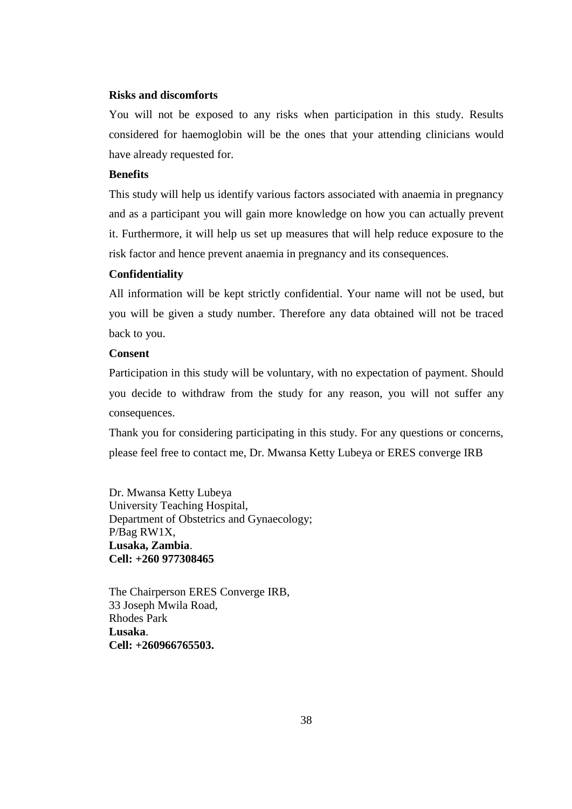### **Risks and discomforts**

You will not be exposed to any risks when participation in this study. Results considered for haemoglobin will be the ones that your attending clinicians would have already requested for.

# **Benefits**

This study will help us identify various factors associated with anaemia in pregnancy and as a participant you will gain more knowledge on how you can actually prevent it. Furthermore, it will help us set up measures that will help reduce exposure to the risk factor and hence prevent anaemia in pregnancy and its consequences.

#### **Confidentiality**

All information will be kept strictly confidential. Your name will not be used, but you will be given a study number. Therefore any data obtained will not be traced back to you.

## **Consent**

Participation in this study will be voluntary, with no expectation of payment. Should you decide to withdraw from the study for any reason, you will not suffer any consequences.

Thank you for considering participating in this study. For any questions or concerns, please feel free to contact me, Dr. Mwansa Ketty Lubeya or ERES converge IRB

Dr. Mwansa Ketty Lubeya University Teaching Hospital, Department of Obstetrics and Gynaecology; P/Bag RW1X, **Lusaka, Zambia**. **Cell: +260 977308465**

The Chairperson ERES Converge IRB, 33 Joseph Mwila Road, Rhodes Park **Lusaka**. **Cell: +260966765503.**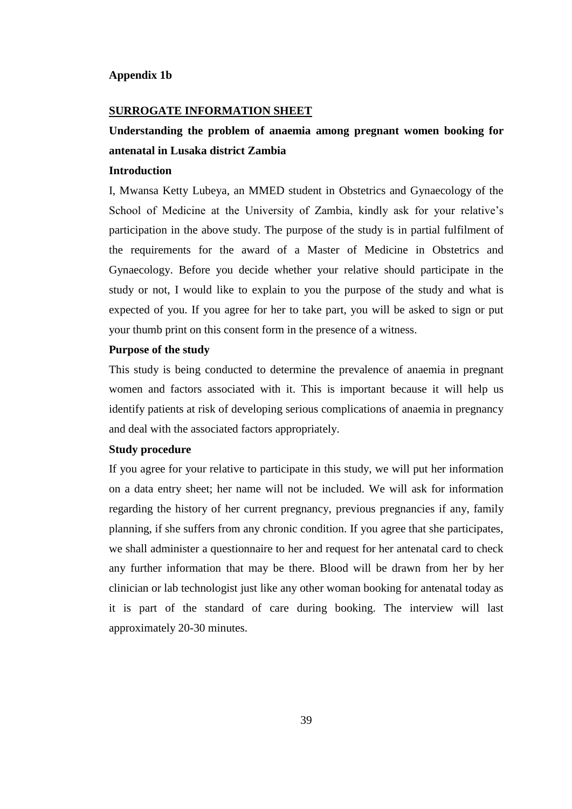### <span id="page-51-0"></span>**Appendix 1b**

### **SURROGATE INFORMATION SHEET**

# **Understanding the problem of anaemia among pregnant women booking for antenatal in Lusaka district Zambia**

### **Introduction**

I, Mwansa Ketty Lubeya, an MMED student in Obstetrics and Gynaecology of the School of Medicine at the University of Zambia, kindly ask for your relative's participation in the above study. The purpose of the study is in partial fulfilment of the requirements for the award of a Master of Medicine in Obstetrics and Gynaecology. Before you decide whether your relative should participate in the study or not, I would like to explain to you the purpose of the study and what is expected of you. If you agree for her to take part, you will be asked to sign or put your thumb print on this consent form in the presence of a witness.

### **Purpose of the study**

This study is being conducted to determine the prevalence of anaemia in pregnant women and factors associated with it. This is important because it will help us identify patients at risk of developing serious complications of anaemia in pregnancy and deal with the associated factors appropriately.

### **Study procedure**

If you agree for your relative to participate in this study, we will put her information on a data entry sheet; her name will not be included. We will ask for information regarding the history of her current pregnancy, previous pregnancies if any, family planning, if she suffers from any chronic condition. If you agree that she participates, we shall administer a questionnaire to her and request for her antenatal card to check any further information that may be there. Blood will be drawn from her by her clinician or lab technologist just like any other woman booking for antenatal today as it is part of the standard of care during booking. The interview will last approximately 20-30 minutes.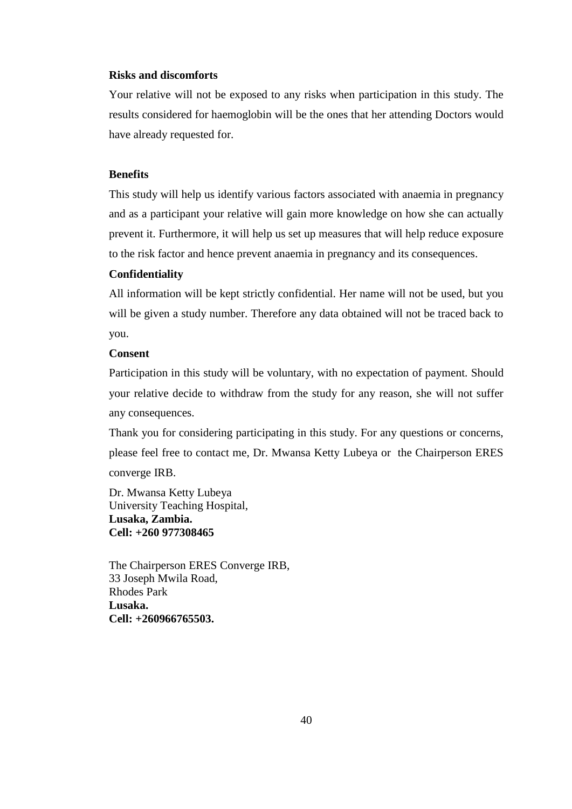### **Risks and discomforts**

Your relative will not be exposed to any risks when participation in this study. The results considered for haemoglobin will be the ones that her attending Doctors would have already requested for.

# **Benefits**

This study will help us identify various factors associated with anaemia in pregnancy and as a participant your relative will gain more knowledge on how she can actually prevent it. Furthermore, it will help us set up measures that will help reduce exposure to the risk factor and hence prevent anaemia in pregnancy and its consequences.

### **Confidentiality**

All information will be kept strictly confidential. Her name will not be used, but you will be given a study number. Therefore any data obtained will not be traced back to you.

### **Consent**

Participation in this study will be voluntary, with no expectation of payment. Should your relative decide to withdraw from the study for any reason, she will not suffer any consequences.

Thank you for considering participating in this study. For any questions or concerns, please feel free to contact me, Dr. Mwansa Ketty Lubeya or the Chairperson ERES converge IRB.

Dr. Mwansa Ketty Lubeya University Teaching Hospital, **Lusaka, Zambia. Cell: +260 977308465**

The Chairperson ERES Converge IRB, 33 Joseph Mwila Road, Rhodes Park **Lusaka. Cell: +260966765503.**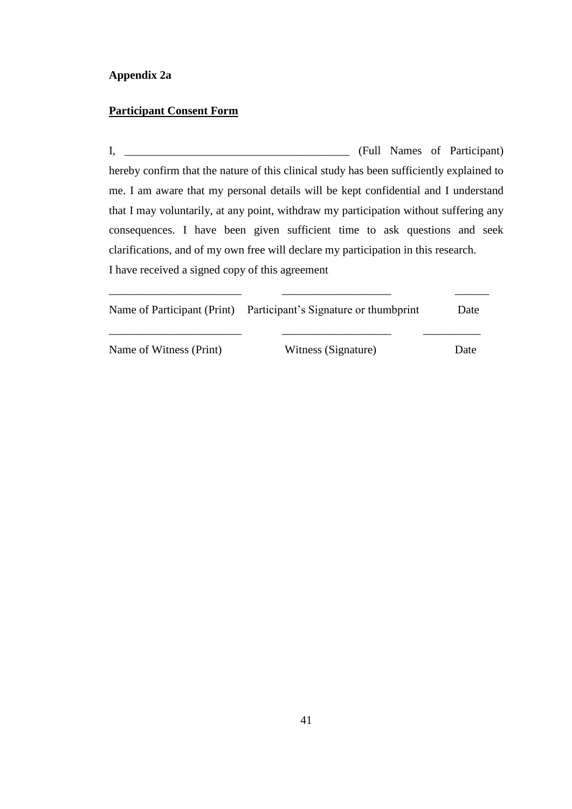# <span id="page-53-0"></span>**Appendix 2a**

# **Participant Consent Form**

I, \_\_\_\_\_\_\_\_\_\_\_\_\_\_\_\_\_\_\_\_\_\_\_\_\_\_\_\_\_\_\_\_\_\_\_\_\_\_\_ (Full Names of Participant) hereby confirm that the nature of this clinical study has been sufficiently explained to me. I am aware that my personal details will be kept confidential and I understand that I may voluntarily, at any point, withdraw my participation without suffering any consequences. I have been given sufficient time to ask questions and seek clarifications, and of my own free will declare my participation in this research. I have received a signed copy of this agreement

|                         | Name of Participant (Print) Participant's Signature or thumbprint | Date |
|-------------------------|-------------------------------------------------------------------|------|
| Name of Witness (Print) | Witness (Signature)                                               | Date |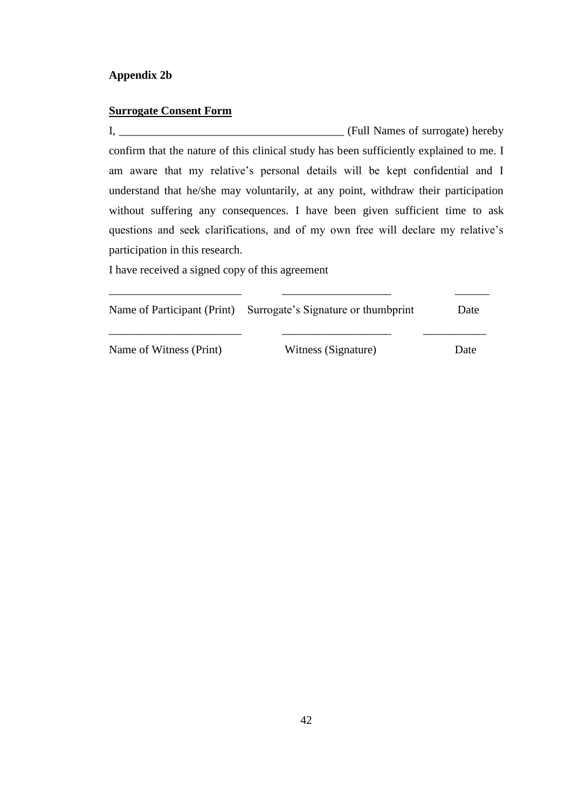# <span id="page-54-0"></span>**Surrogate Consent Form**

I, \_\_\_\_\_\_\_\_\_\_\_\_\_\_\_\_\_\_\_\_\_\_\_\_\_\_\_\_\_\_\_\_\_\_\_\_\_\_\_ (Full Names of surrogate) hereby confirm that the nature of this clinical study has been sufficiently explained to me. I am aware that my relative's personal details will be kept confidential and I understand that he/she may voluntarily, at any point, withdraw their participation without suffering any consequences. I have been given sufficient time to ask questions and seek clarifications, and of my own free will declare my relative's participation in this research.

I have received a signed copy of this agreement

|                         | Name of Participant (Print) Surrogate's Signature or thumbprint | Date |
|-------------------------|-----------------------------------------------------------------|------|
| Name of Witness (Print) | Witness (Signature)                                             | Date |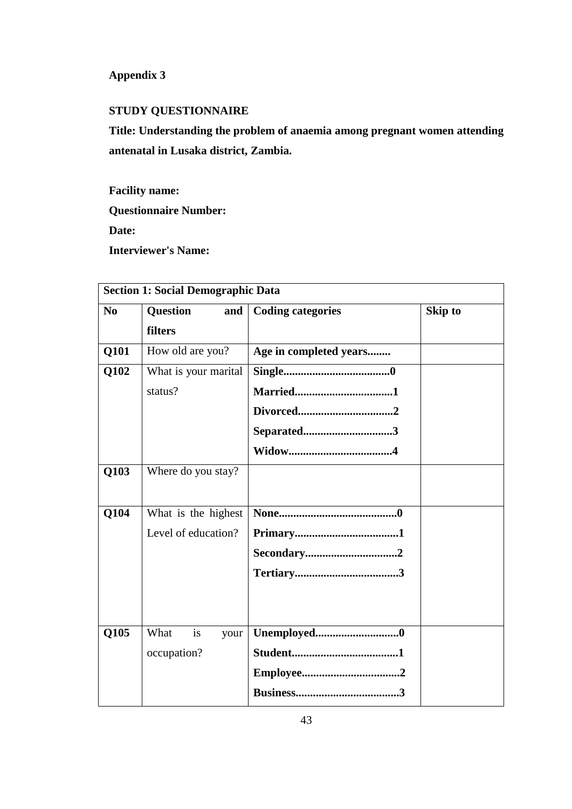# <span id="page-55-0"></span>**Appendix 3**

# **STUDY QUESTIONNAIRE**

**Title: Understanding the problem of anaemia among pregnant women attending antenatal in Lusaka district, Zambia.**

**Facility name: Questionnaire Number: Date: Interviewer's Name:**

|                | <b>Section 1: Social Demographic Data</b> |                          |                |  |  |
|----------------|-------------------------------------------|--------------------------|----------------|--|--|
| N <sub>0</sub> | <b>Question</b><br>and<br>filters         | <b>Coding categories</b> | <b>Skip to</b> |  |  |
| Q101           | How old are you?                          | Age in completed years   |                |  |  |
| Q102           | What is your marital                      |                          |                |  |  |
|                | status?                                   |                          |                |  |  |
|                |                                           |                          |                |  |  |
|                |                                           | Separated3               |                |  |  |
|                |                                           |                          |                |  |  |
| Q103           | Where do you stay?                        |                          |                |  |  |
|                |                                           |                          |                |  |  |
| Q104           | What is the highest                       |                          |                |  |  |
|                | Level of education?                       |                          |                |  |  |
|                |                                           |                          |                |  |  |
|                |                                           |                          |                |  |  |
|                |                                           |                          |                |  |  |
|                |                                           |                          |                |  |  |
| Q105           | What<br>is<br>your                        | Unemployed0              |                |  |  |
|                | occupation?                               |                          |                |  |  |
|                |                                           |                          |                |  |  |
|                |                                           |                          |                |  |  |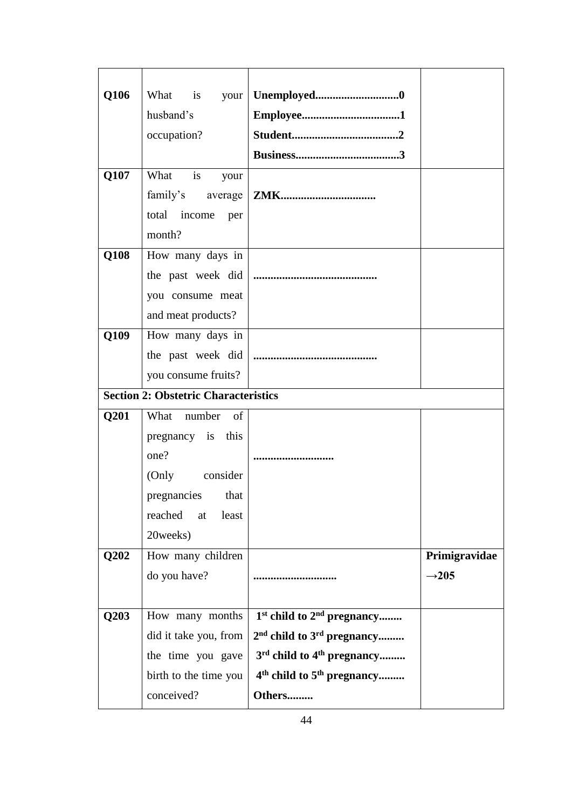| Q106 |                                             |                                                    |                   |
|------|---------------------------------------------|----------------------------------------------------|-------------------|
|      | husband's                                   |                                                    |                   |
|      | occupation?                                 |                                                    |                   |
|      |                                             |                                                    |                   |
| Q107 | What is<br>your                             |                                                    |                   |
|      | family's average                            | <b>ZMK</b>                                         |                   |
|      | total income<br>per                         |                                                    |                   |
|      | month?                                      |                                                    |                   |
| Q108 | How many days in                            |                                                    |                   |
|      |                                             |                                                    |                   |
|      | you consume meat                            |                                                    |                   |
|      | and meat products?                          |                                                    |                   |
| Q109 | How many days in                            |                                                    |                   |
|      |                                             |                                                    |                   |
|      | you consume fruits?                         |                                                    |                   |
|      | <b>Section 2: Obstetric Characteristics</b> |                                                    |                   |
| Q201 | What number<br>of                           |                                                    |                   |
|      | pregnancy is this                           |                                                    |                   |
|      | one?                                        |                                                    |                   |
|      | (Only consider                              |                                                    |                   |
|      | pregnancies<br>that                         |                                                    |                   |
|      | reached<br>least<br>at                      |                                                    |                   |
|      | 20weeks)                                    |                                                    |                   |
| Q202 | How many children                           |                                                    | Primigravidae     |
|      | do you have?                                |                                                    | $\rightarrow 205$ |
|      |                                             |                                                    |                   |
| Q203 | How many months                             | 1 <sup>st</sup> child to 2 <sup>nd</sup> pregnancy |                   |
|      |                                             |                                                    |                   |
|      | did it take you, from                       | $2nd$ child to $3rd$ pregnancy                     |                   |
|      | the time you gave                           | 3rd child to 4 <sup>th</sup> pregnancy             |                   |
|      | birth to the time you                       | 4 <sup>th</sup> child to 5 <sup>th</sup> pregnancy |                   |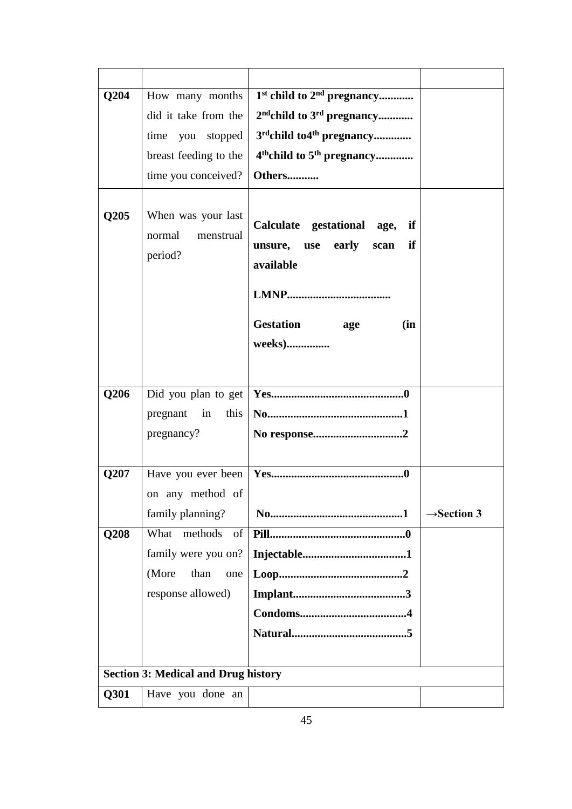| Q204 | How many months                                      | 1 <sup>st</sup> child to 2 <sup>nd</sup> pregnancy                                     |                         |
|------|------------------------------------------------------|----------------------------------------------------------------------------------------|-------------------------|
|      | did it take from the                                 | 2 <sup>nd</sup> child to 3 <sup>rd</sup> pregnancy                                     |                         |
|      | time you stopped                                     | 3rdchild to 4 <sup>th</sup> pregnancy                                                  |                         |
|      | breast feeding to the                                | 4 <sup>th</sup> child to 5 <sup>th</sup> pregnancy                                     |                         |
|      | time you conceived?                                  | Others                                                                                 |                         |
| Q205 | When was your last<br>normal<br>menstrual<br>period? | Calculate gestational age,<br>if<br>early<br>if<br>use<br>scan<br>unsure,<br>available |                         |
|      |                                                      |                                                                                        |                         |
|      |                                                      | Gestation age<br>(in                                                                   |                         |
|      |                                                      | weeks)                                                                                 |                         |
|      |                                                      |                                                                                        |                         |
| Q206 | Did you plan to get                                  |                                                                                        |                         |
|      | pregnant<br>in<br>this                               |                                                                                        |                         |
|      | pregnancy?                                           | No response2                                                                           |                         |
|      |                                                      |                                                                                        |                         |
| Q207 | Have you ever been                                   |                                                                                        |                         |
|      | on any method of                                     |                                                                                        |                         |
|      |                                                      |                                                                                        |                         |
|      | family planning?<br>What methods<br>of               |                                                                                        | $\rightarrow$ Section 3 |
| Q208 |                                                      |                                                                                        |                         |
|      | family were you on?                                  |                                                                                        |                         |
|      | (More<br>than<br>one                                 |                                                                                        |                         |
|      | response allowed)                                    |                                                                                        |                         |
|      |                                                      |                                                                                        |                         |
|      |                                                      |                                                                                        |                         |
|      |                                                      |                                                                                        |                         |
|      | <b>Section 3: Medical and Drug history</b>           |                                                                                        |                         |
| Q301 | Have you done an                                     |                                                                                        |                         |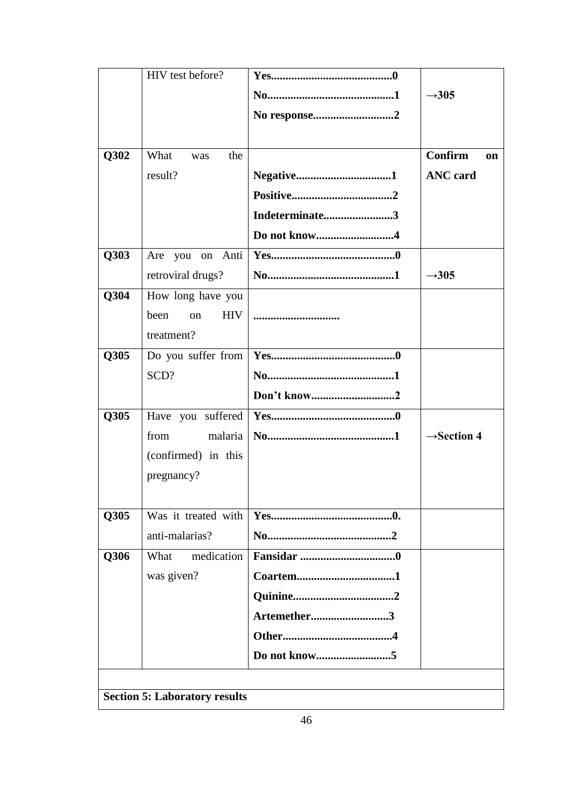|                                      | HIV test before?         |                |                         |  |  |
|--------------------------------------|--------------------------|----------------|-------------------------|--|--|
|                                      |                          |                | $\rightarrow 305$       |  |  |
|                                      |                          | No response2   |                         |  |  |
|                                      |                          |                |                         |  |  |
| Q302                                 | What<br>the<br>was       |                | <b>Confirm</b><br>on    |  |  |
|                                      | result?                  |                | <b>ANC</b> card         |  |  |
|                                      |                          |                |                         |  |  |
|                                      |                          | Indeterminate3 |                         |  |  |
|                                      |                          | Do not know4   |                         |  |  |
| Q303                                 | Are you on Anti          |                |                         |  |  |
|                                      | retroviral drugs?        |                | $\rightarrow$ 305       |  |  |
| Q304                                 | How long have you        |                |                         |  |  |
|                                      | been<br><b>HIV</b><br>on |                |                         |  |  |
|                                      | treatment?               |                |                         |  |  |
| Q305                                 | Do you suffer from       |                |                         |  |  |
|                                      | SCD?                     |                |                         |  |  |
|                                      |                          | Don't know2    |                         |  |  |
| Q305                                 | Have you suffered        |                |                         |  |  |
|                                      | malaria<br>from          |                | $\rightarrow$ Section 4 |  |  |
|                                      | (confirmed) in this      |                |                         |  |  |
|                                      | pregnancy?               |                |                         |  |  |
|                                      |                          |                |                         |  |  |
| Q305                                 | Was it treated with      |                |                         |  |  |
|                                      | anti-malarias?           |                |                         |  |  |
| Q306                                 | medication<br>What       |                |                         |  |  |
|                                      | was given?               |                |                         |  |  |
|                                      |                          |                |                         |  |  |
|                                      |                          | Artemether3    |                         |  |  |
|                                      |                          |                |                         |  |  |
|                                      |                          |                |                         |  |  |
|                                      |                          |                |                         |  |  |
| <b>Section 5: Laboratory results</b> |                          |                |                         |  |  |